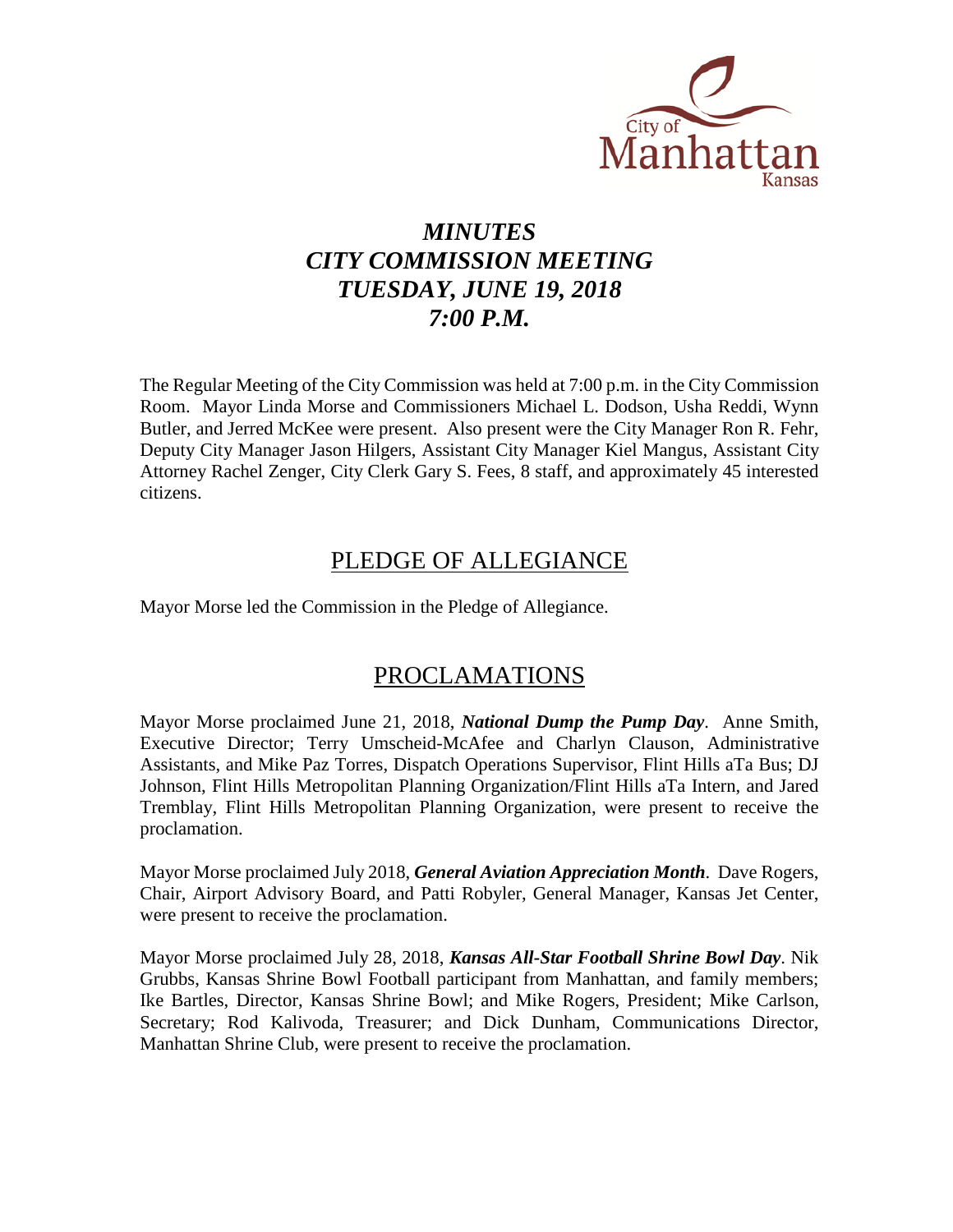

# *MINUTES CITY COMMISSION MEETING TUESDAY, JUNE 19, 2018 7:00 P.M.*

The Regular Meeting of the City Commission was held at 7:00 p.m. in the City Commission Room. Mayor Linda Morse and Commissioners Michael L. Dodson, Usha Reddi, Wynn Butler, and Jerred McKee were present. Also present were the City Manager Ron R. Fehr, Deputy City Manager Jason Hilgers, Assistant City Manager Kiel Mangus, Assistant City Attorney Rachel Zenger, City Clerk Gary S. Fees, 8 staff, and approximately 45 interested citizens.

# PLEDGE OF ALLEGIANCE

Mayor Morse led the Commission in the Pledge of Allegiance.

# PROCLAMATIONS

Mayor Morse proclaimed June 21, 2018, *National Dump the Pump Day*. Anne Smith, Executive Director; Terry Umscheid-McAfee and Charlyn Clauson, Administrative Assistants, and Mike Paz Torres, Dispatch Operations Supervisor, Flint Hills aTa Bus; DJ Johnson, Flint Hills Metropolitan Planning Organization/Flint Hills aTa Intern, and Jared Tremblay, Flint Hills Metropolitan Planning Organization, were present to receive the proclamation.

Mayor Morse proclaimed July 2018, *General Aviation Appreciation Month*. Dave Rogers, Chair, Airport Advisory Board, and Patti Robyler, General Manager, Kansas Jet Center, were present to receive the proclamation.

Mayor Morse proclaimed July 28, 2018, *Kansas All-Star Football Shrine Bowl Day*. Nik Grubbs, Kansas Shrine Bowl Football participant from Manhattan, and family members; Ike Bartles, Director, Kansas Shrine Bowl; and Mike Rogers, President; Mike Carlson, Secretary; Rod Kalivoda, Treasurer; and Dick Dunham, Communications Director, Manhattan Shrine Club, were present to receive the proclamation.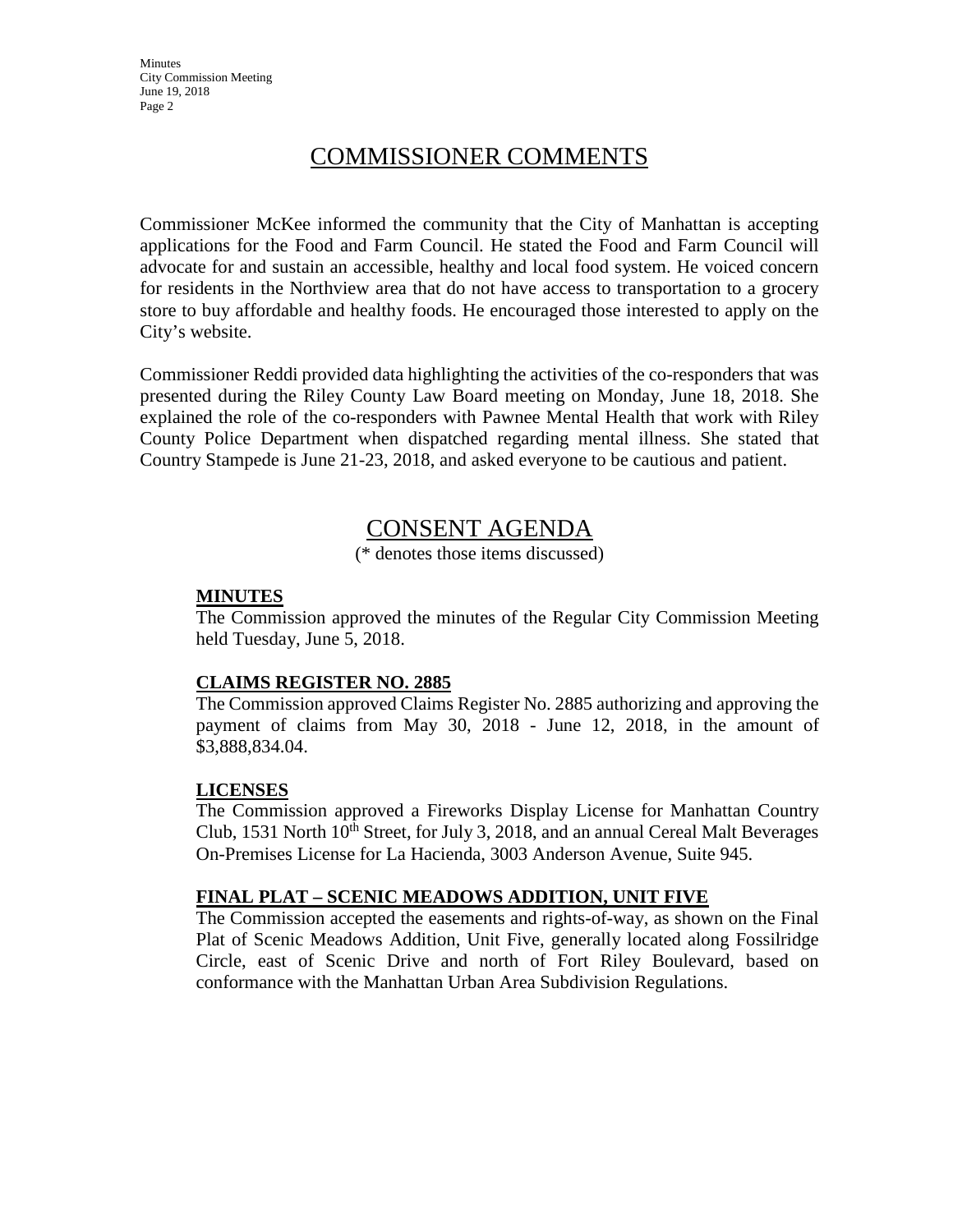**Minutes** City Commission Meeting June 19, 2018 Page 2

# COMMISSIONER COMMENTS

Commissioner McKee informed the community that the City of Manhattan is accepting applications for the Food and Farm Council. He stated the Food and Farm Council will advocate for and sustain an accessible, healthy and local food system. He voiced concern for residents in the Northview area that do not have access to transportation to a grocery store to buy affordable and healthy foods. He encouraged those interested to apply on the City's website.

Commissioner Reddi provided data highlighting the activities of the co-responders that was presented during the Riley County Law Board meeting on Monday, June 18, 2018. She explained the role of the co-responders with Pawnee Mental Health that work with Riley County Police Department when dispatched regarding mental illness. She stated that Country Stampede is June 21-23, 2018, and asked everyone to be cautious and patient.

## CONSENT AGENDA

(\* denotes those items discussed)

#### **MINUTES**

The Commission approved the minutes of the Regular City Commission Meeting held Tuesday, June 5, 2018.

#### **CLAIMS REGISTER NO. 2885**

The Commission approved Claims Register No. 2885 authorizing and approving the payment of claims from May 30, 2018 - June 12, 2018, in the amount of \$3,888,834.04.

#### **LICENSES**

The Commission approved a Fireworks Display License for Manhattan Country Club, 1531 North  $10^{th}$  Street, for July 3, 2018, and an annual Cereal Malt Beverages On-Premises License for La Hacienda, 3003 Anderson Avenue, Suite 945.

#### **FINAL PLAT – SCENIC MEADOWS ADDITION, UNIT FIVE**

The Commission accepted the easements and rights-of-way, as shown on the Final Plat of Scenic Meadows Addition, Unit Five, generally located along Fossilridge Circle, east of Scenic Drive and north of Fort Riley Boulevard, based on conformance with the Manhattan Urban Area Subdivision Regulations.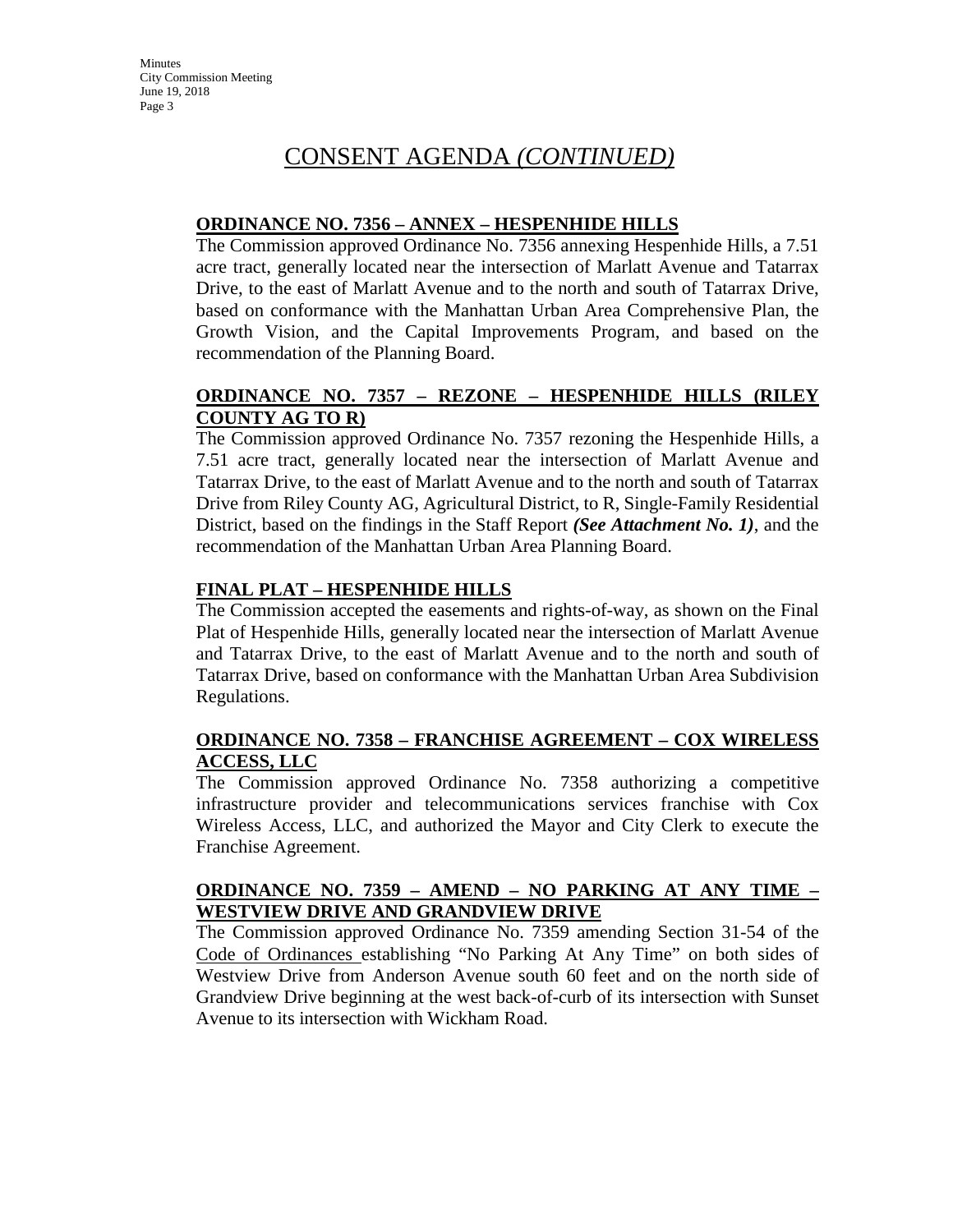#### **ORDINANCE NO. 7356 – ANNEX – HESPENHIDE HILLS**

The Commission approved Ordinance No. 7356 annexing Hespenhide Hills, a 7.51 acre tract, generally located near the intersection of Marlatt Avenue and Tatarrax Drive, to the east of Marlatt Avenue and to the north and south of Tatarrax Drive, based on conformance with the Manhattan Urban Area Comprehensive Plan, the Growth Vision, and the Capital Improvements Program, and based on the recommendation of the Planning Board.

#### **ORDINANCE NO. 7357 – REZONE – HESPENHIDE HILLS (RILEY COUNTY AG TO R)**

The Commission approved Ordinance No. 7357 rezoning the Hespenhide Hills, a 7.51 acre tract, generally located near the intersection of Marlatt Avenue and Tatarrax Drive, to the east of Marlatt Avenue and to the north and south of Tatarrax Drive from Riley County AG, Agricultural District, to R, Single-Family Residential District, based on the findings in the Staff Report *(See Attachment No. 1)*, and the recommendation of the Manhattan Urban Area Planning Board.

#### **FINAL PLAT – HESPENHIDE HILLS**

The Commission accepted the easements and rights-of-way, as shown on the Final Plat of Hespenhide Hills, generally located near the intersection of Marlatt Avenue and Tatarrax Drive, to the east of Marlatt Avenue and to the north and south of Tatarrax Drive, based on conformance with the Manhattan Urban Area Subdivision Regulations.

#### **ORDINANCE NO. 7358 – FRANCHISE AGREEMENT – COX WIRELESS ACCESS, LLC**

The Commission approved Ordinance No. 7358 authorizing a competitive infrastructure provider and telecommunications services franchise with Cox Wireless Access, LLC, and authorized the Mayor and City Clerk to execute the Franchise Agreement.

#### **ORDINANCE NO. 7359 – AMEND – NO PARKING AT ANY TIME – WESTVIEW DRIVE AND GRANDVIEW DRIVE**

The Commission approved Ordinance No. 7359 amending Section 31-54 of the Code of Ordinances establishing "No Parking At Any Time" on both sides of Westview Drive from Anderson Avenue south 60 feet and on the north side of Grandview Drive beginning at the west back-of-curb of its intersection with Sunset Avenue to its intersection with Wickham Road.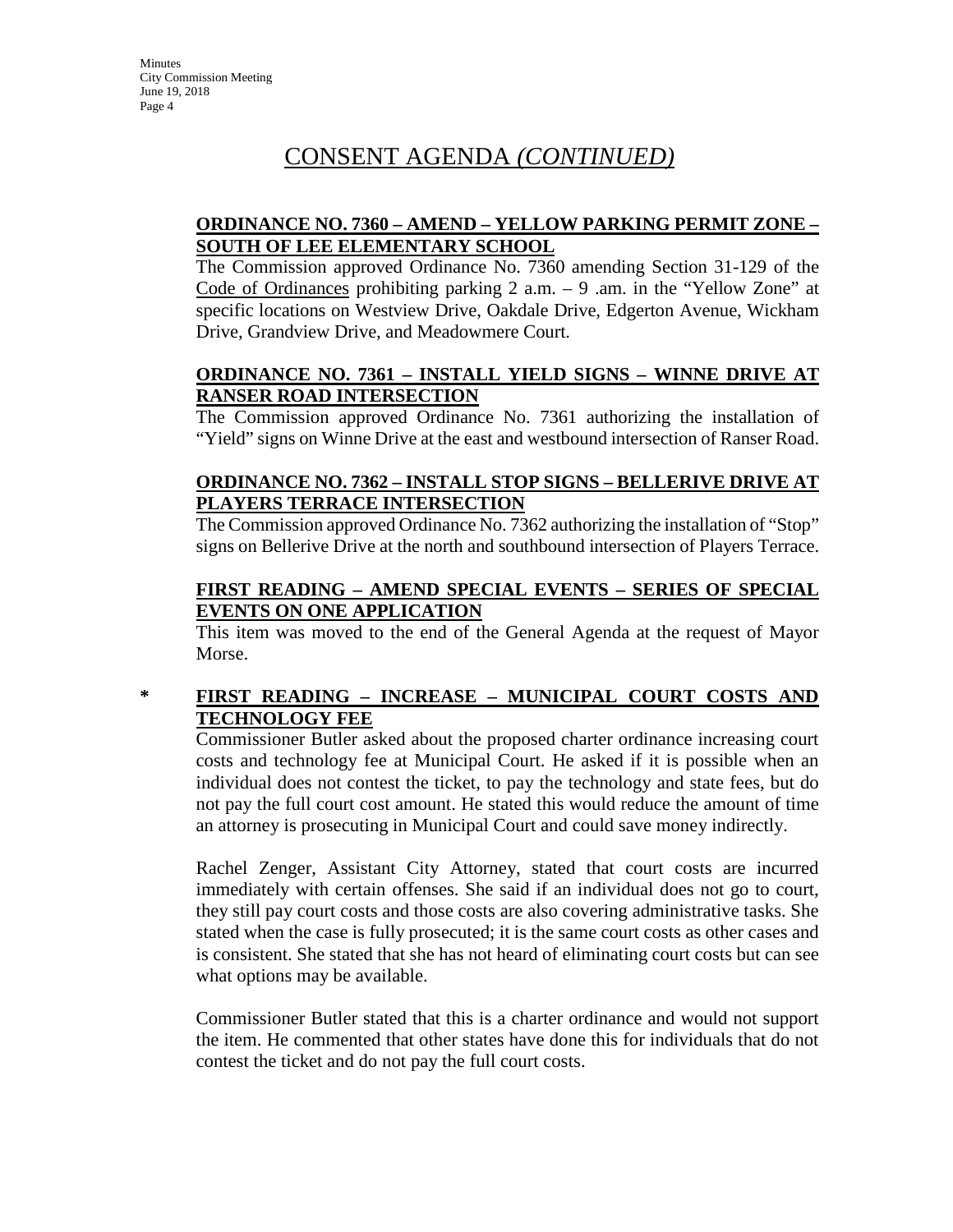#### **ORDINANCE NO. 7360 – AMEND – YELLOW PARKING PERMIT ZONE – SOUTH OF LEE ELEMENTARY SCHOOL**

The Commission approved Ordinance No. 7360 amending Section 31-129 of the Code of Ordinances prohibiting parking  $2$  a.m.  $-9$  .am. in the "Yellow Zone" at specific locations on Westview Drive, Oakdale Drive, Edgerton Avenue, Wickham Drive, Grandview Drive, and Meadowmere Court.

#### **ORDINANCE NO. 7361 – INSTALL YIELD SIGNS – WINNE DRIVE AT RANSER ROAD INTERSECTION**

The Commission approved Ordinance No. 7361 authorizing the installation of "Yield" signs on Winne Drive at the east and westbound intersection of Ranser Road.

#### **ORDINANCE NO. 7362 – INSTALL STOP SIGNS – BELLERIVE DRIVE AT PLAYERS TERRACE INTERSECTION**

The Commission approved Ordinance No. 7362 authorizing the installation of "Stop" signs on Bellerive Drive at the north and southbound intersection of Players Terrace.

#### **FIRST READING – AMEND SPECIAL EVENTS – SERIES OF SPECIAL EVENTS ON ONE APPLICATION**

This item was moved to the end of the General Agenda at the request of Mayor Morse.

#### **\* FIRST READING – INCREASE – MUNICIPAL COURT COSTS AND TECHNOLOGY FEE**

Commissioner Butler asked about the proposed charter ordinance increasing court costs and technology fee at Municipal Court. He asked if it is possible when an individual does not contest the ticket, to pay the technology and state fees, but do not pay the full court cost amount. He stated this would reduce the amount of time an attorney is prosecuting in Municipal Court and could save money indirectly.

Rachel Zenger, Assistant City Attorney, stated that court costs are incurred immediately with certain offenses. She said if an individual does not go to court, they still pay court costs and those costs are also covering administrative tasks. She stated when the case is fully prosecuted; it is the same court costs as other cases and is consistent. She stated that she has not heard of eliminating court costs but can see what options may be available.

Commissioner Butler stated that this is a charter ordinance and would not support the item. He commented that other states have done this for individuals that do not contest the ticket and do not pay the full court costs.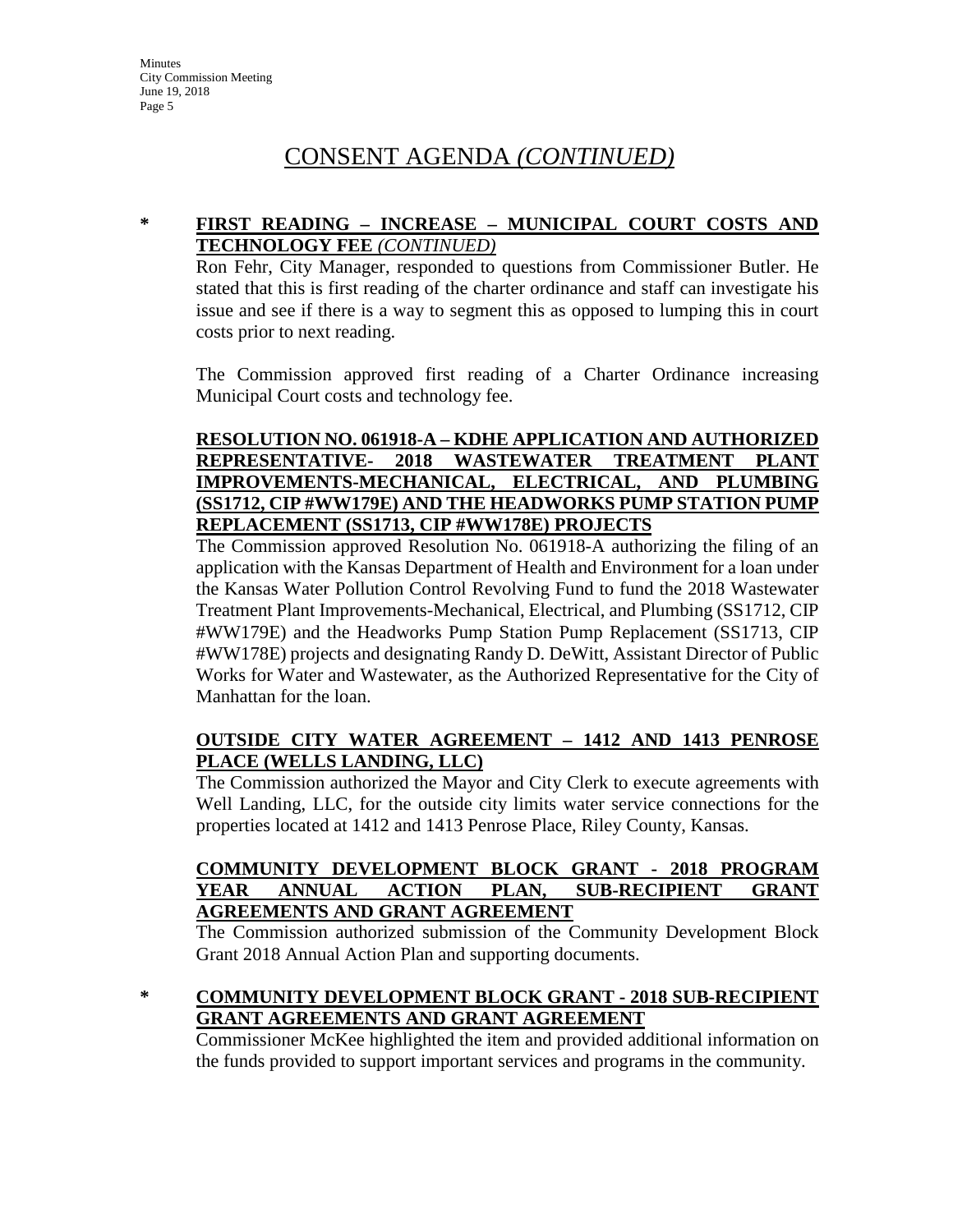#### **\* FIRST READING – INCREASE – MUNICIPAL COURT COSTS AND TECHNOLOGY FEE** *(CONTINUED)*

Ron Fehr, City Manager, responded to questions from Commissioner Butler. He stated that this is first reading of the charter ordinance and staff can investigate his issue and see if there is a way to segment this as opposed to lumping this in court costs prior to next reading.

The Commission approved first reading of a Charter Ordinance increasing Municipal Court costs and technology fee.

#### **RESOLUTION NO. 061918-A – KDHE APPLICATION AND AUTHORIZED REPRESENTATIVE- 2018 WASTEWATER TREATMENT PLANT IMPROVEMENTS-MECHANICAL, ELECTRICAL, AND PLUMBING (SS1712, CIP #WW179E) AND THE HEADWORKS PUMP STATION PUMP REPLACEMENT (SS1713, CIP #WW178E) PROJECTS**

The Commission approved Resolution No. 061918-A authorizing the filing of an application with the Kansas Department of Health and Environment for a loan under the Kansas Water Pollution Control Revolving Fund to fund the 2018 Wastewater Treatment Plant Improvements-Mechanical, Electrical, and Plumbing (SS1712, CIP #WW179E) and the Headworks Pump Station Pump Replacement (SS1713, CIP #WW178E) projects and designating Randy D. DeWitt, Assistant Director of Public Works for Water and Wastewater, as the Authorized Representative for the City of Manhattan for the loan.

#### **OUTSIDE CITY WATER AGREEMENT – 1412 AND 1413 PENROSE PLACE (WELLS LANDING, LLC)**

The Commission authorized the Mayor and City Clerk to execute agreements with Well Landing, LLC, for the outside city limits water service connections for the properties located at 1412 and 1413 Penrose Place, Riley County, Kansas.

#### **COMMUNITY DEVELOPMENT BLOCK GRANT - 2018 PROGRAM YEAR ANNUAL ACTION PLAN, SUB-RECIPIENT GRANT AGREEMENTS AND GRANT AGREEMENT**

The Commission authorized submission of the Community Development Block Grant 2018 Annual Action Plan and supporting documents.

#### **\* COMMUNITY DEVELOPMENT BLOCK GRANT - 2018 SUB-RECIPIENT GRANT AGREEMENTS AND GRANT AGREEMENT**

Commissioner McKee highlighted the item and provided additional information on the funds provided to support important services and programs in the community.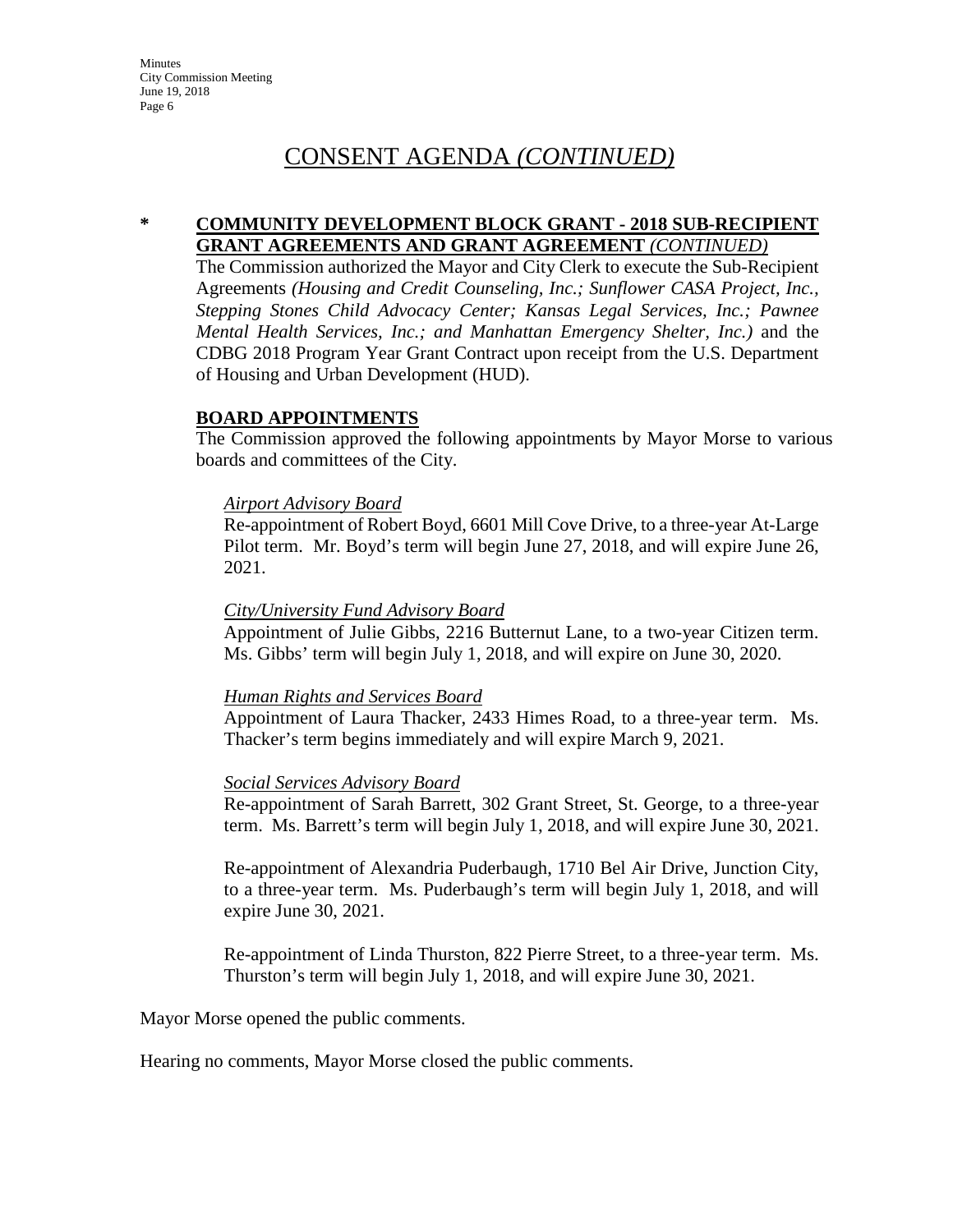#### **\* COMMUNITY DEVELOPMENT BLOCK GRANT - 2018 SUB-RECIPIENT GRANT AGREEMENTS AND GRANT AGREEMENT** *(CONTINUED)*

The Commission authorized the Mayor and City Clerk to execute the Sub-Recipient Agreements *(Housing and Credit Counseling, Inc.; Sunflower CASA Project, Inc., Stepping Stones Child Advocacy Center; Kansas Legal Services, Inc.; Pawnee Mental Health Services, Inc.; and Manhattan Emergency Shelter, Inc.)* and the CDBG 2018 Program Year Grant Contract upon receipt from the U.S. Department of Housing and Urban Development (HUD).

#### **BOARD APPOINTMENTS**

The Commission approved the following appointments by Mayor Morse to various boards and committees of the City.

#### *Airport Advisory Board*

Re-appointment of Robert Boyd, 6601 Mill Cove Drive, to a three-year At-Large Pilot term. Mr. Boyd's term will begin June 27, 2018, and will expire June 26, 2021.

#### *City/University Fund Advisory Board*

Appointment of Julie Gibbs, 2216 Butternut Lane, to a two-year Citizen term. Ms. Gibbs' term will begin July 1, 2018, and will expire on June 30, 2020.

#### *Human Rights and Services Board*

Appointment of Laura Thacker, 2433 Himes Road, to a three-year term. Ms. Thacker's term begins immediately and will expire March 9, 2021.

#### *Social Services Advisory Board*

Re-appointment of Sarah Barrett, 302 Grant Street, St. George, to a three-year term. Ms. Barrett's term will begin July 1, 2018, and will expire June 30, 2021.

Re-appointment of Alexandria Puderbaugh, 1710 Bel Air Drive, Junction City, to a three-year term. Ms. Puderbaugh's term will begin July 1, 2018, and will expire June 30, 2021.

Re-appointment of Linda Thurston, 822 Pierre Street, to a three-year term. Ms. Thurston's term will begin July 1, 2018, and will expire June 30, 2021.

Mayor Morse opened the public comments.

Hearing no comments, Mayor Morse closed the public comments.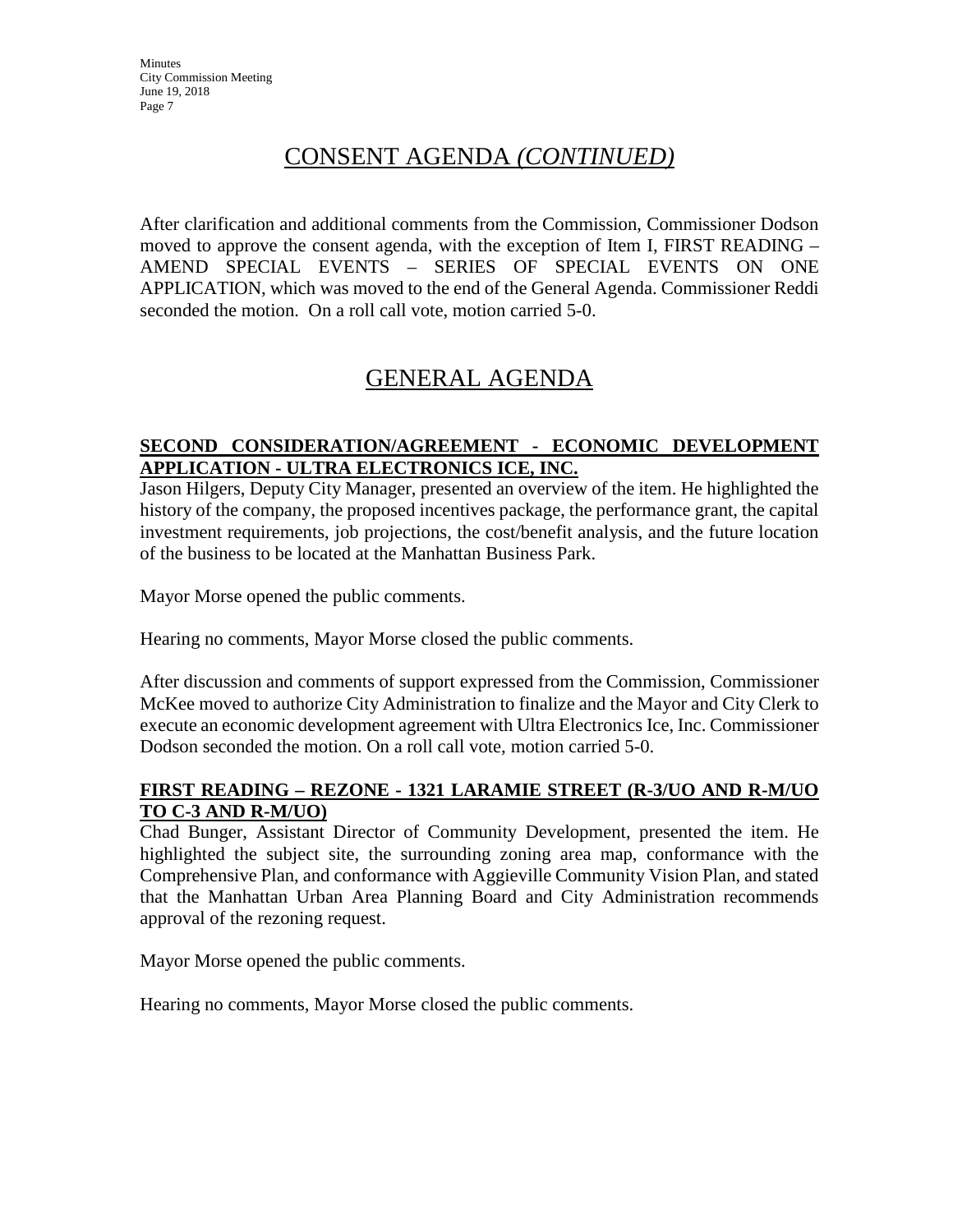After clarification and additional comments from the Commission, Commissioner Dodson moved to approve the consent agenda, with the exception of Item I, FIRST READING – AMEND SPECIAL EVENTS – SERIES OF SPECIAL EVENTS ON ONE APPLICATION, which was moved to the end of the General Agenda. Commissioner Reddi seconded the motion. On a roll call vote, motion carried 5-0.

# GENERAL AGENDA

#### **SECOND CONSIDERATION/AGREEMENT - ECONOMIC DEVELOPMENT APPLICATION - ULTRA ELECTRONICS ICE, INC.**

Jason Hilgers, Deputy City Manager, presented an overview of the item. He highlighted the history of the company, the proposed incentives package, the performance grant, the capital investment requirements, job projections, the cost/benefit analysis, and the future location of the business to be located at the Manhattan Business Park.

Mayor Morse opened the public comments.

Hearing no comments, Mayor Morse closed the public comments.

After discussion and comments of support expressed from the Commission, Commissioner McKee moved to authorize City Administration to finalize and the Mayor and City Clerk to execute an economic development agreement with Ultra Electronics Ice, Inc. Commissioner Dodson seconded the motion. On a roll call vote, motion carried 5-0.

#### **FIRST READING – REZONE - 1321 LARAMIE STREET (R-3/UO AND R-M/UO TO C-3 AND R-M/UO)**

Chad Bunger, Assistant Director of Community Development, presented the item. He highlighted the subject site, the surrounding zoning area map, conformance with the Comprehensive Plan, and conformance with Aggieville Community Vision Plan, and stated that the Manhattan Urban Area Planning Board and City Administration recommends approval of the rezoning request.

Mayor Morse opened the public comments.

Hearing no comments, Mayor Morse closed the public comments.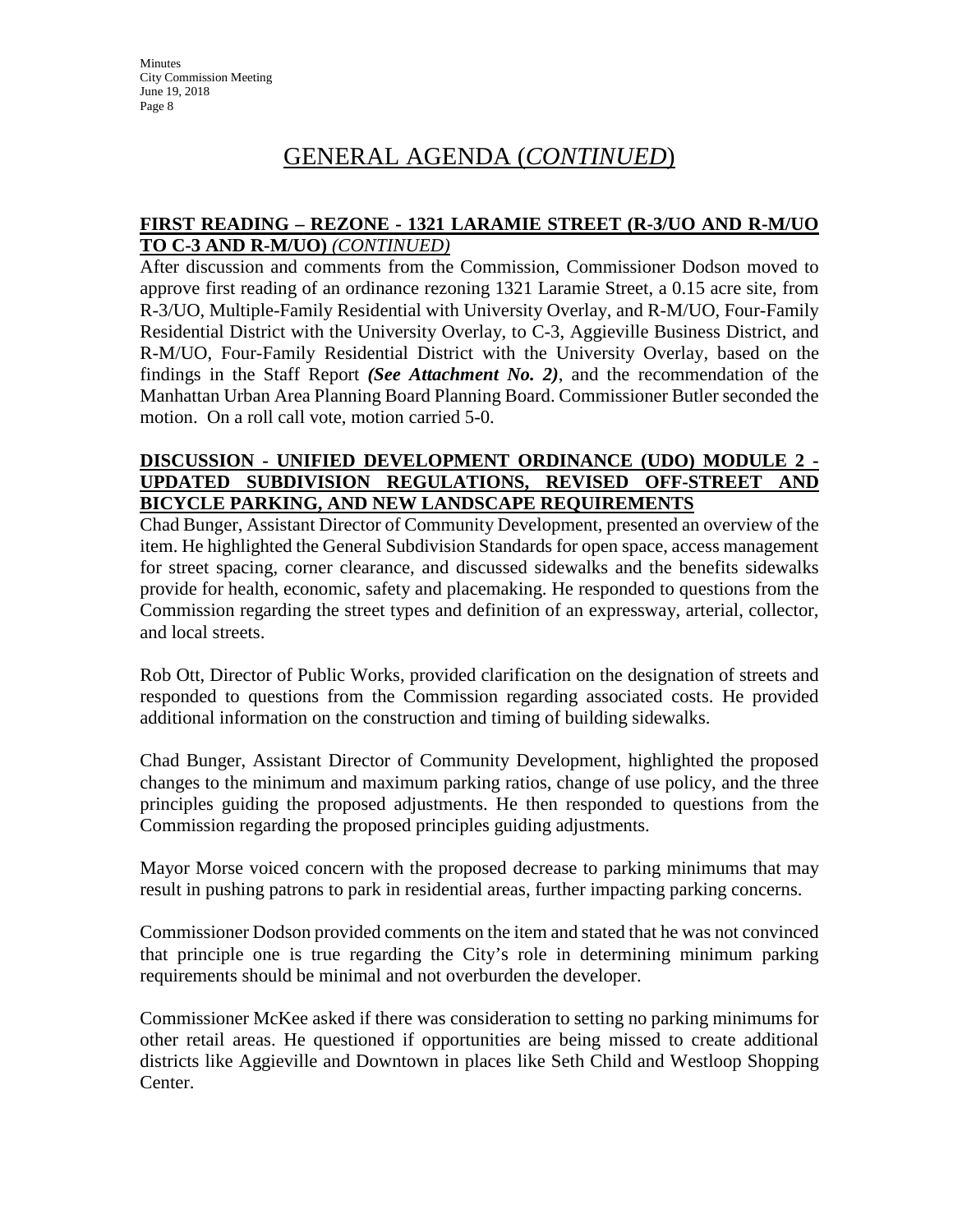**Minutes** City Commission Meeting June 19, 2018 Page 8

# GENERAL AGENDA (*CONTINUED*)

#### **FIRST READING – REZONE - 1321 LARAMIE STREET (R-3/UO AND R-M/UO TO C-3 AND R-M/UO)** *(CONTINUED)*

After discussion and comments from the Commission, Commissioner Dodson moved to approve first reading of an ordinance rezoning 1321 Laramie Street, a 0.15 acre site, from R-3/UO, Multiple-Family Residential with University Overlay, and R-M/UO, Four-Family Residential District with the University Overlay, to C-3, Aggieville Business District, and R-M/UO, Four-Family Residential District with the University Overlay, based on the findings in the Staff Report *(See Attachment No. 2)*, and the recommendation of the Manhattan Urban Area Planning Board Planning Board. Commissioner Butler seconded the motion. On a roll call vote, motion carried 5-0.

#### **DISCUSSION - UNIFIED DEVELOPMENT ORDINANCE (UDO) MODULE 2 - UPDATED SUBDIVISION REGULATIONS, REVISED OFF-STREET AND BICYCLE PARKING, AND NEW LANDSCAPE REQUIREMENTS**

Chad Bunger, Assistant Director of Community Development, presented an overview of the item. He highlighted the General Subdivision Standards for open space, access management for street spacing, corner clearance, and discussed sidewalks and the benefits sidewalks provide for health, economic, safety and placemaking. He responded to questions from the Commission regarding the street types and definition of an expressway, arterial, collector, and local streets.

Rob Ott, Director of Public Works, provided clarification on the designation of streets and responded to questions from the Commission regarding associated costs. He provided additional information on the construction and timing of building sidewalks.

Chad Bunger, Assistant Director of Community Development, highlighted the proposed changes to the minimum and maximum parking ratios, change of use policy, and the three principles guiding the proposed adjustments. He then responded to questions from the Commission regarding the proposed principles guiding adjustments.

Mayor Morse voiced concern with the proposed decrease to parking minimums that may result in pushing patrons to park in residential areas, further impacting parking concerns.

Commissioner Dodson provided comments on the item and stated that he was not convinced that principle one is true regarding the City's role in determining minimum parking requirements should be minimal and not overburden the developer.

Commissioner McKee asked if there was consideration to setting no parking minimums for other retail areas. He questioned if opportunities are being missed to create additional districts like Aggieville and Downtown in places like Seth Child and Westloop Shopping Center.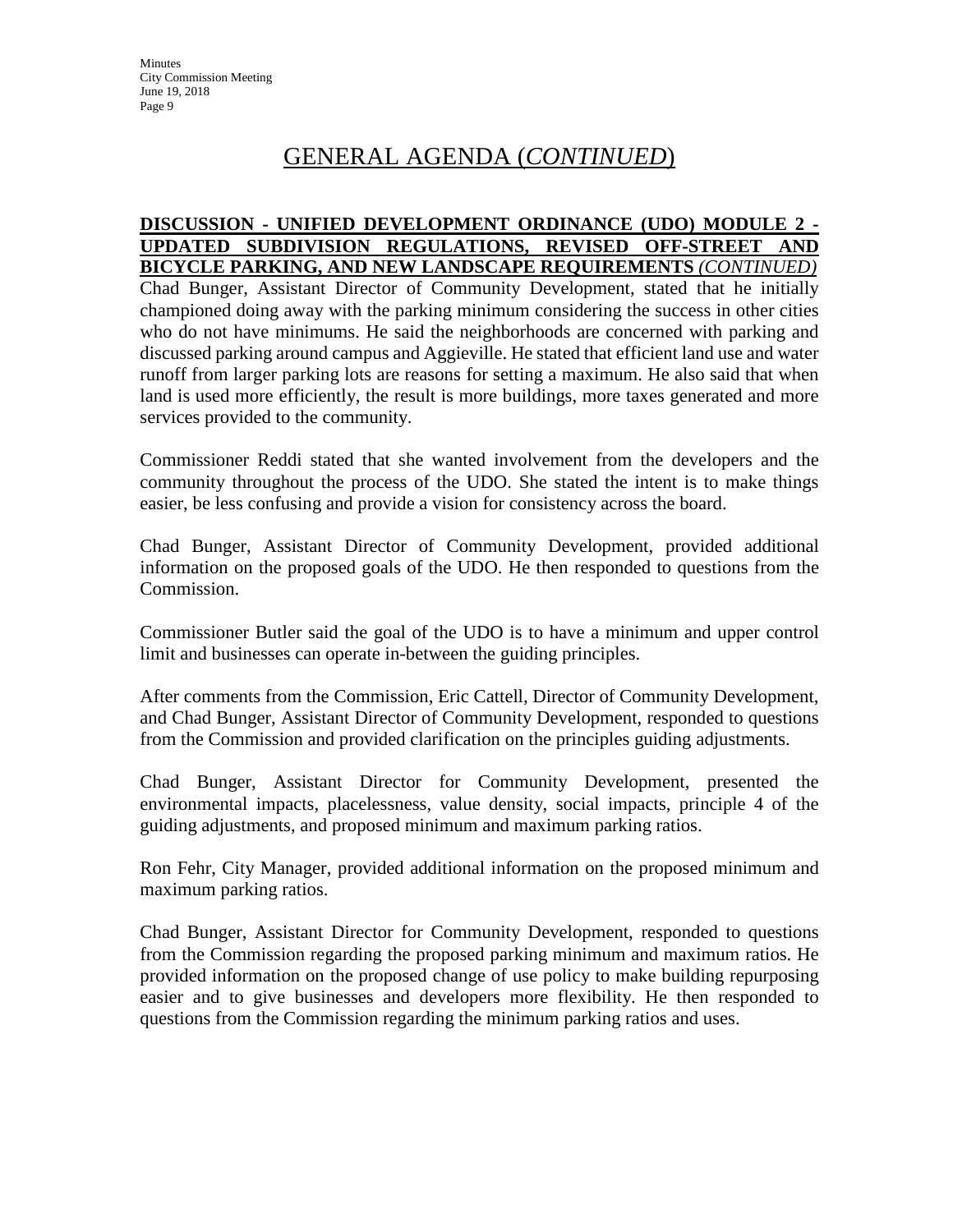**Minutes** City Commission Meeting June 19, 2018 Page 9

# GENERAL AGENDA (*CONTINUED*)

#### **DISCUSSION - UNIFIED DEVELOPMENT ORDINANCE (UDO) MODULE 2 - UPDATED SUBDIVISION REGULATIONS, REVISED OFF-STREET AND BICYCLE PARKING, AND NEW LANDSCAPE REQUIREMENTS** *(CONTINUED)*

Chad Bunger, Assistant Director of Community Development, stated that he initially championed doing away with the parking minimum considering the success in other cities who do not have minimums. He said the neighborhoods are concerned with parking and discussed parking around campus and Aggieville. He stated that efficient land use and water runoff from larger parking lots are reasons for setting a maximum. He also said that when land is used more efficiently, the result is more buildings, more taxes generated and more services provided to the community.

Commissioner Reddi stated that she wanted involvement from the developers and the community throughout the process of the UDO. She stated the intent is to make things easier, be less confusing and provide a vision for consistency across the board.

Chad Bunger, Assistant Director of Community Development, provided additional information on the proposed goals of the UDO. He then responded to questions from the Commission.

Commissioner Butler said the goal of the UDO is to have a minimum and upper control limit and businesses can operate in-between the guiding principles.

After comments from the Commission, Eric Cattell, Director of Community Development, and Chad Bunger, Assistant Director of Community Development, responded to questions from the Commission and provided clarification on the principles guiding adjustments.

Chad Bunger, Assistant Director for Community Development, presented the environmental impacts, placelessness, value density, social impacts, principle 4 of the guiding adjustments, and proposed minimum and maximum parking ratios.

Ron Fehr, City Manager, provided additional information on the proposed minimum and maximum parking ratios.

Chad Bunger, Assistant Director for Community Development, responded to questions from the Commission regarding the proposed parking minimum and maximum ratios. He provided information on the proposed change of use policy to make building repurposing easier and to give businesses and developers more flexibility. He then responded to questions from the Commission regarding the minimum parking ratios and uses.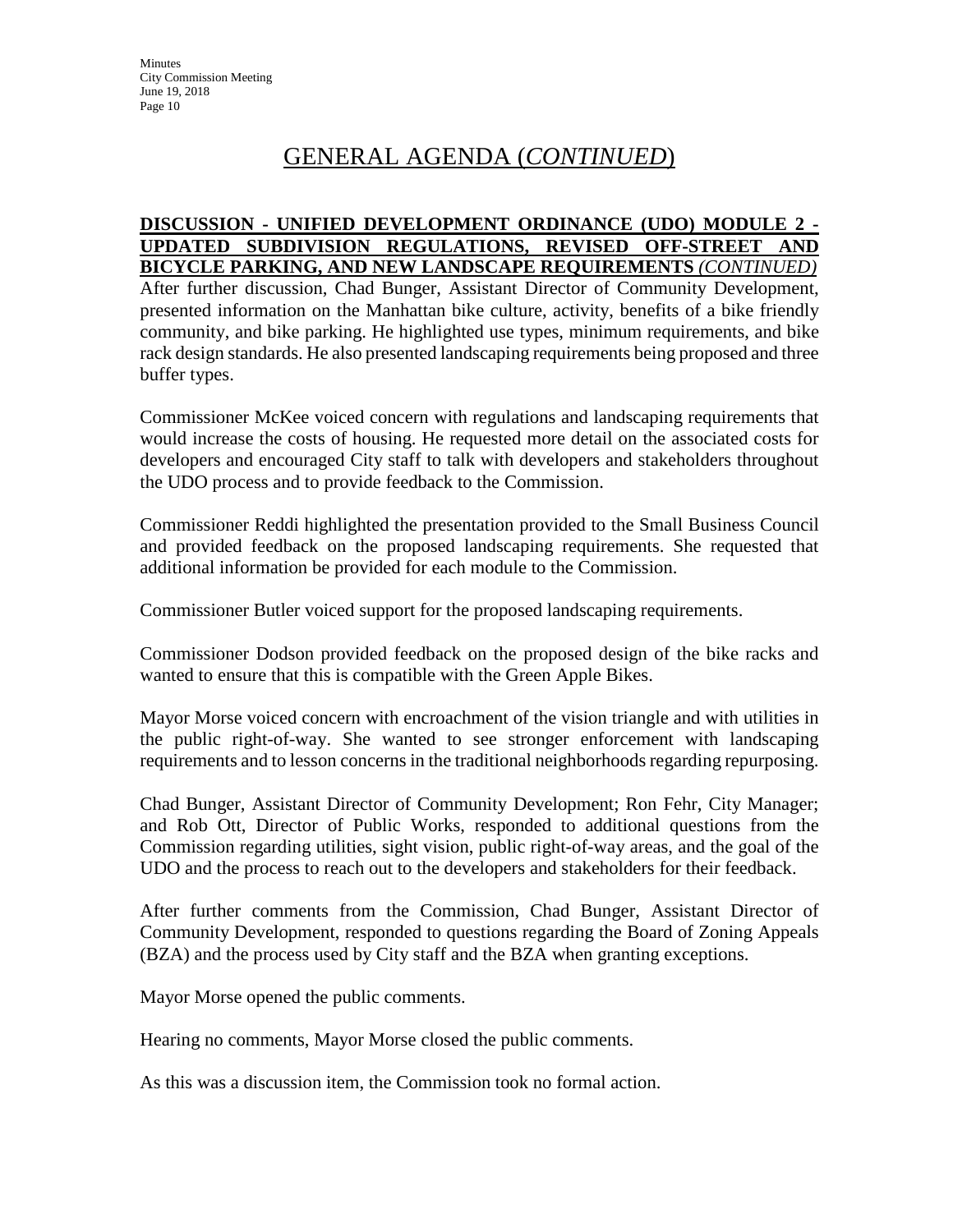# GENERAL AGENDA (*CONTINUED*)

#### **DISCUSSION - UNIFIED DEVELOPMENT ORDINANCE (UDO) MODULE 2 - UPDATED SUBDIVISION REGULATIONS, REVISED OFF-STREET AND BICYCLE PARKING, AND NEW LANDSCAPE REQUIREMENTS** *(CONTINUED)*

After further discussion, Chad Bunger, Assistant Director of Community Development, presented information on the Manhattan bike culture, activity, benefits of a bike friendly community, and bike parking. He highlighted use types, minimum requirements, and bike rack design standards. He also presented landscaping requirements being proposed and three buffer types.

Commissioner McKee voiced concern with regulations and landscaping requirements that would increase the costs of housing. He requested more detail on the associated costs for developers and encouraged City staff to talk with developers and stakeholders throughout the UDO process and to provide feedback to the Commission.

Commissioner Reddi highlighted the presentation provided to the Small Business Council and provided feedback on the proposed landscaping requirements. She requested that additional information be provided for each module to the Commission.

Commissioner Butler voiced support for the proposed landscaping requirements.

Commissioner Dodson provided feedback on the proposed design of the bike racks and wanted to ensure that this is compatible with the Green Apple Bikes.

Mayor Morse voiced concern with encroachment of the vision triangle and with utilities in the public right-of-way. She wanted to see stronger enforcement with landscaping requirements and to lesson concerns in the traditional neighborhoods regarding repurposing.

Chad Bunger, Assistant Director of Community Development; Ron Fehr, City Manager; and Rob Ott, Director of Public Works, responded to additional questions from the Commission regarding utilities, sight vision, public right-of-way areas, and the goal of the UDO and the process to reach out to the developers and stakeholders for their feedback.

After further comments from the Commission, Chad Bunger, Assistant Director of Community Development, responded to questions regarding the Board of Zoning Appeals (BZA) and the process used by City staff and the BZA when granting exceptions.

Mayor Morse opened the public comments.

Hearing no comments, Mayor Morse closed the public comments.

As this was a discussion item, the Commission took no formal action.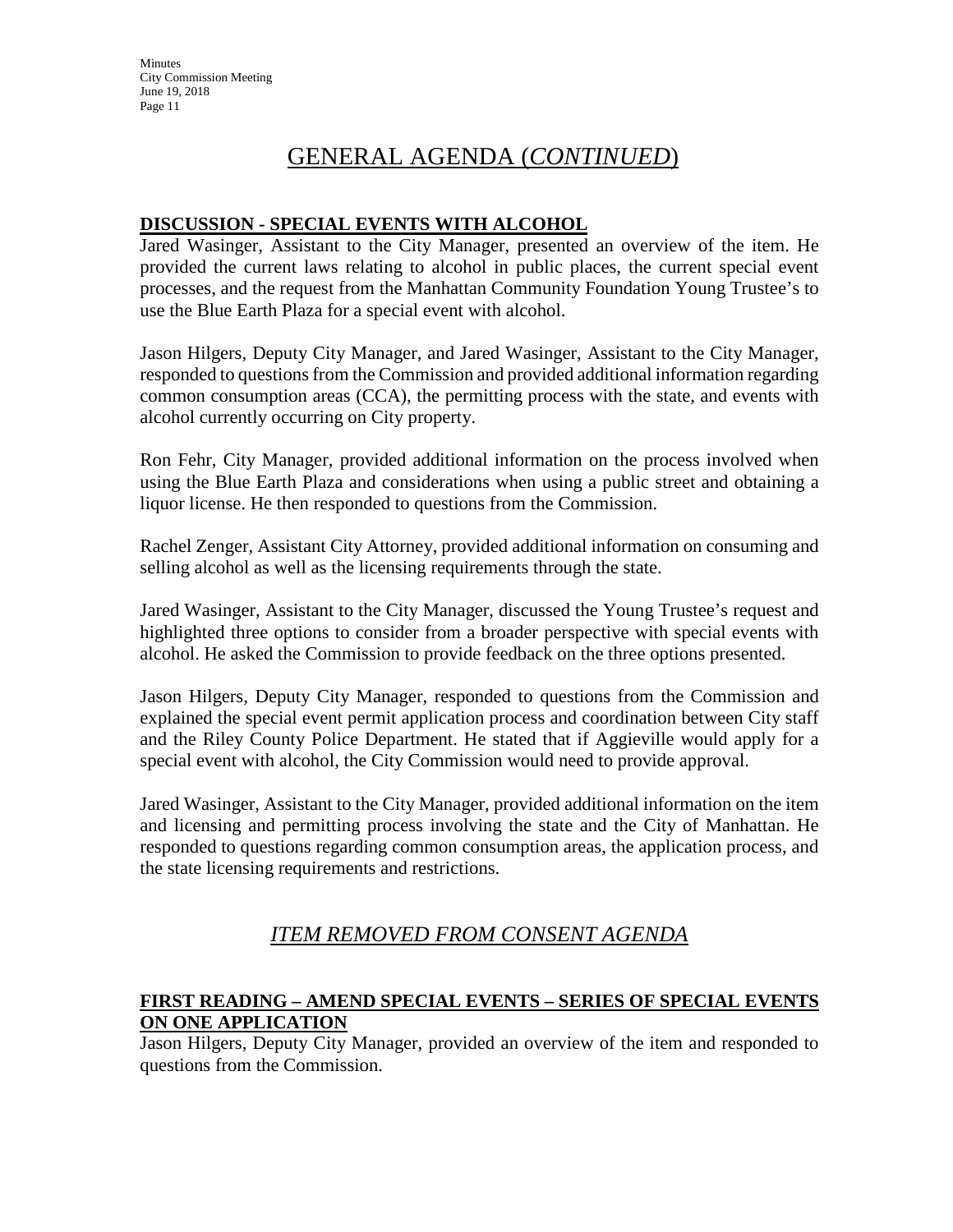# GENERAL AGENDA (*CONTINUED*)

#### **DISCUSSION - SPECIAL EVENTS WITH ALCOHOL**

Jared Wasinger, Assistant to the City Manager, presented an overview of the item. He provided the current laws relating to alcohol in public places, the current special event processes, and the request from the Manhattan Community Foundation Young Trustee's to use the Blue Earth Plaza for a special event with alcohol.

Jason Hilgers, Deputy City Manager, and Jared Wasinger, Assistant to the City Manager, responded to questions from the Commission and provided additional information regarding common consumption areas (CCA), the permitting process with the state, and events with alcohol currently occurring on City property.

Ron Fehr, City Manager, provided additional information on the process involved when using the Blue Earth Plaza and considerations when using a public street and obtaining a liquor license. He then responded to questions from the Commission.

Rachel Zenger, Assistant City Attorney, provided additional information on consuming and selling alcohol as well as the licensing requirements through the state.

Jared Wasinger, Assistant to the City Manager, discussed the Young Trustee's request and highlighted three options to consider from a broader perspective with special events with alcohol. He asked the Commission to provide feedback on the three options presented.

Jason Hilgers, Deputy City Manager, responded to questions from the Commission and explained the special event permit application process and coordination between City staff and the Riley County Police Department. He stated that if Aggieville would apply for a special event with alcohol, the City Commission would need to provide approval.

Jared Wasinger, Assistant to the City Manager, provided additional information on the item and licensing and permitting process involving the state and the City of Manhattan. He responded to questions regarding common consumption areas, the application process, and the state licensing requirements and restrictions.

# *ITEM REMOVED FROM CONSENT AGENDA*

#### **FIRST READING – AMEND SPECIAL EVENTS – SERIES OF SPECIAL EVENTS ON ONE APPLICATION**

Jason Hilgers, Deputy City Manager, provided an overview of the item and responded to questions from the Commission.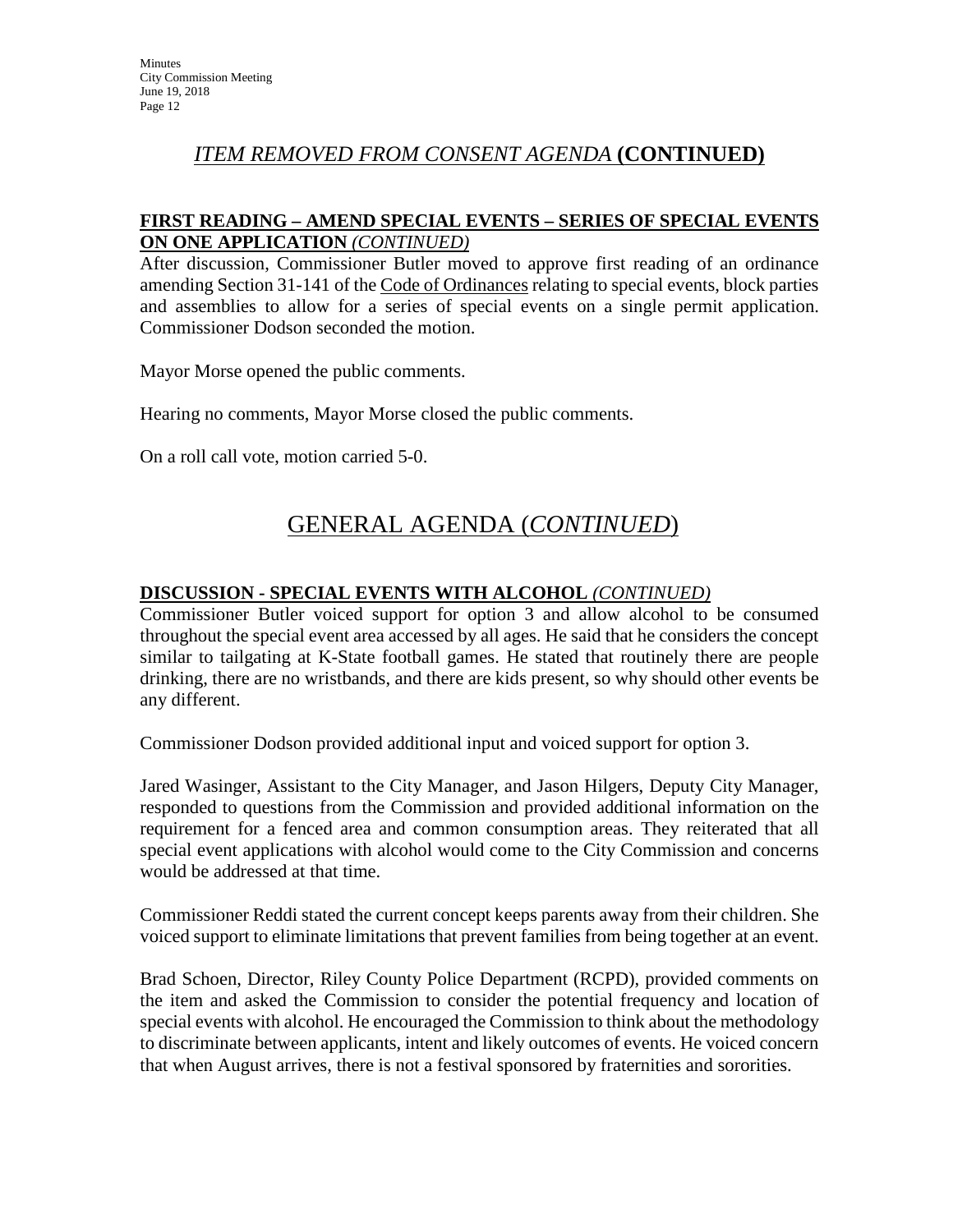### *ITEM REMOVED FROM CONSENT AGENDA* **(CONTINUED)**

#### **FIRST READING – AMEND SPECIAL EVENTS – SERIES OF SPECIAL EVENTS ON ONE APPLICATION** *(CONTINUED)*

After discussion, Commissioner Butler moved to approve first reading of an ordinance amending Section 31-141 of the Code of Ordinances relating to special events, block parties and assemblies to allow for a series of special events on a single permit application. Commissioner Dodson seconded the motion.

Mayor Morse opened the public comments.

Hearing no comments, Mayor Morse closed the public comments.

On a roll call vote, motion carried 5-0.

# GENERAL AGENDA (*CONTINUED*)

#### **DISCUSSION - SPECIAL EVENTS WITH ALCOHOL** *(CONTINUED)*

Commissioner Butler voiced support for option 3 and allow alcohol to be consumed throughout the special event area accessed by all ages. He said that he considers the concept similar to tailgating at K-State football games. He stated that routinely there are people drinking, there are no wristbands, and there are kids present, so why should other events be any different.

Commissioner Dodson provided additional input and voiced support for option 3.

Jared Wasinger, Assistant to the City Manager, and Jason Hilgers, Deputy City Manager, responded to questions from the Commission and provided additional information on the requirement for a fenced area and common consumption areas. They reiterated that all special event applications with alcohol would come to the City Commission and concerns would be addressed at that time.

Commissioner Reddi stated the current concept keeps parents away from their children. She voiced support to eliminate limitations that prevent families from being together at an event.

Brad Schoen, Director, Riley County Police Department (RCPD), provided comments on the item and asked the Commission to consider the potential frequency and location of special events with alcohol. He encouraged the Commission to think about the methodology to discriminate between applicants, intent and likely outcomes of events. He voiced concern that when August arrives, there is not a festival sponsored by fraternities and sororities.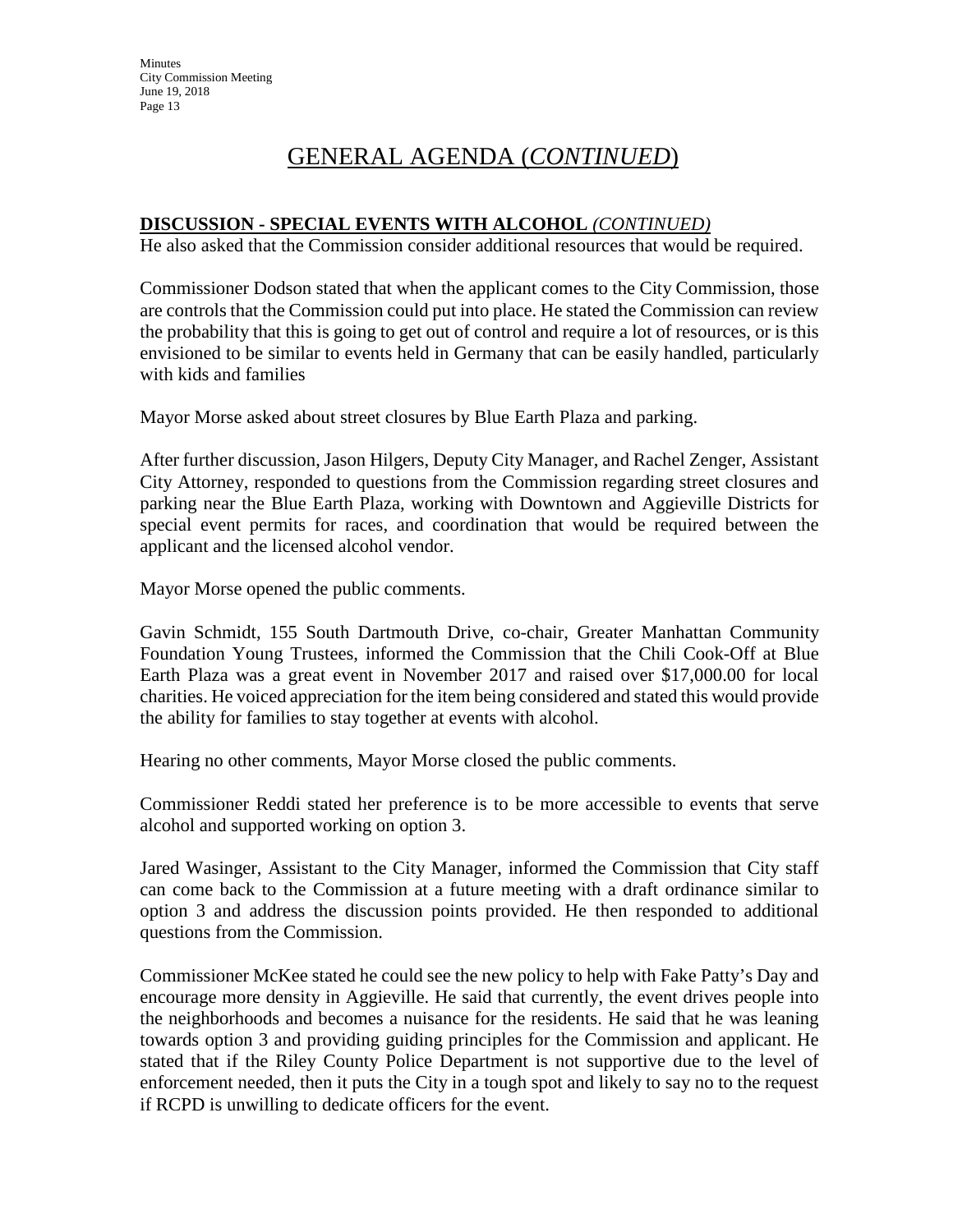# GENERAL AGENDA (*CONTINUED*)

#### **DISCUSSION - SPECIAL EVENTS WITH ALCOHOL** *(CONTINUED)*

He also asked that the Commission consider additional resources that would be required.

Commissioner Dodson stated that when the applicant comes to the City Commission, those are controls that the Commission could put into place. He stated the Commission can review the probability that this is going to get out of control and require a lot of resources, or is this envisioned to be similar to events held in Germany that can be easily handled, particularly with kids and families

Mayor Morse asked about street closures by Blue Earth Plaza and parking.

After further discussion, Jason Hilgers, Deputy City Manager, and Rachel Zenger, Assistant City Attorney, responded to questions from the Commission regarding street closures and parking near the Blue Earth Plaza, working with Downtown and Aggieville Districts for special event permits for races, and coordination that would be required between the applicant and the licensed alcohol vendor.

Mayor Morse opened the public comments.

Gavin Schmidt, 155 South Dartmouth Drive, co-chair, Greater Manhattan Community Foundation Young Trustees, informed the Commission that the Chili Cook-Off at Blue Earth Plaza was a great event in November 2017 and raised over \$17,000.00 for local charities. He voiced appreciation for the item being considered and stated this would provide the ability for families to stay together at events with alcohol.

Hearing no other comments, Mayor Morse closed the public comments.

Commissioner Reddi stated her preference is to be more accessible to events that serve alcohol and supported working on option 3.

Jared Wasinger, Assistant to the City Manager, informed the Commission that City staff can come back to the Commission at a future meeting with a draft ordinance similar to option 3 and address the discussion points provided. He then responded to additional questions from the Commission.

Commissioner McKee stated he could see the new policy to help with Fake Patty's Day and encourage more density in Aggieville. He said that currently, the event drives people into the neighborhoods and becomes a nuisance for the residents. He said that he was leaning towards option 3 and providing guiding principles for the Commission and applicant. He stated that if the Riley County Police Department is not supportive due to the level of enforcement needed, then it puts the City in a tough spot and likely to say no to the request if RCPD is unwilling to dedicate officers for the event.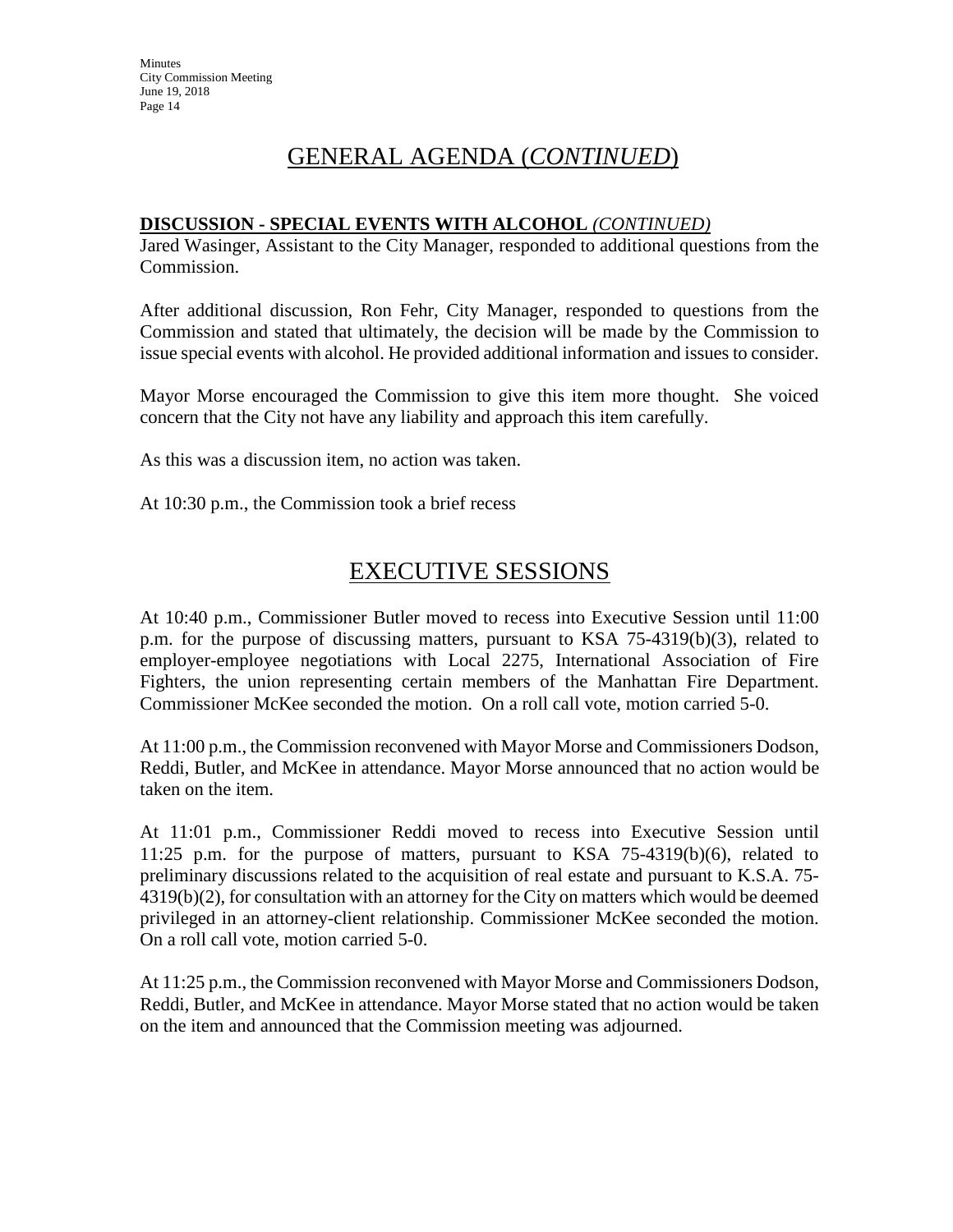# GENERAL AGENDA (*CONTINUED*)

#### **DISCUSSION - SPECIAL EVENTS WITH ALCOHOL** *(CONTINUED)*

Jared Wasinger, Assistant to the City Manager, responded to additional questions from the Commission.

After additional discussion, Ron Fehr, City Manager, responded to questions from the Commission and stated that ultimately, the decision will be made by the Commission to issue special events with alcohol. He provided additional information and issues to consider.

Mayor Morse encouraged the Commission to give this item more thought. She voiced concern that the City not have any liability and approach this item carefully.

As this was a discussion item, no action was taken.

At 10:30 p.m., the Commission took a brief recess

# EXECUTIVE SESSIONS

At 10:40 p.m., Commissioner Butler moved to recess into Executive Session until 11:00 p.m. for the purpose of discussing matters, pursuant to KSA 75-4319(b)(3), related to employer-employee negotiations with Local 2275, International Association of Fire Fighters, the union representing certain members of the Manhattan Fire Department. Commissioner McKee seconded the motion. On a roll call vote, motion carried 5-0.

At 11:00 p.m., the Commission reconvened with Mayor Morse and Commissioners Dodson, Reddi, Butler, and McKee in attendance. Mayor Morse announced that no action would be taken on the item.

At 11:01 p.m., Commissioner Reddi moved to recess into Executive Session until 11:25 p.m. for the purpose of matters, pursuant to KSA 75-4319(b)(6), related to preliminary discussions related to the acquisition of real estate and pursuant to K.S.A. 75- 4319(b)(2), for consultation with an attorney for the City on matters which would be deemed privileged in an attorney-client relationship. Commissioner McKee seconded the motion. On a roll call vote, motion carried 5-0.

At 11:25 p.m., the Commission reconvened with Mayor Morse and Commissioners Dodson, Reddi, Butler, and McKee in attendance. Mayor Morse stated that no action would be taken on the item and announced that the Commission meeting was adjourned.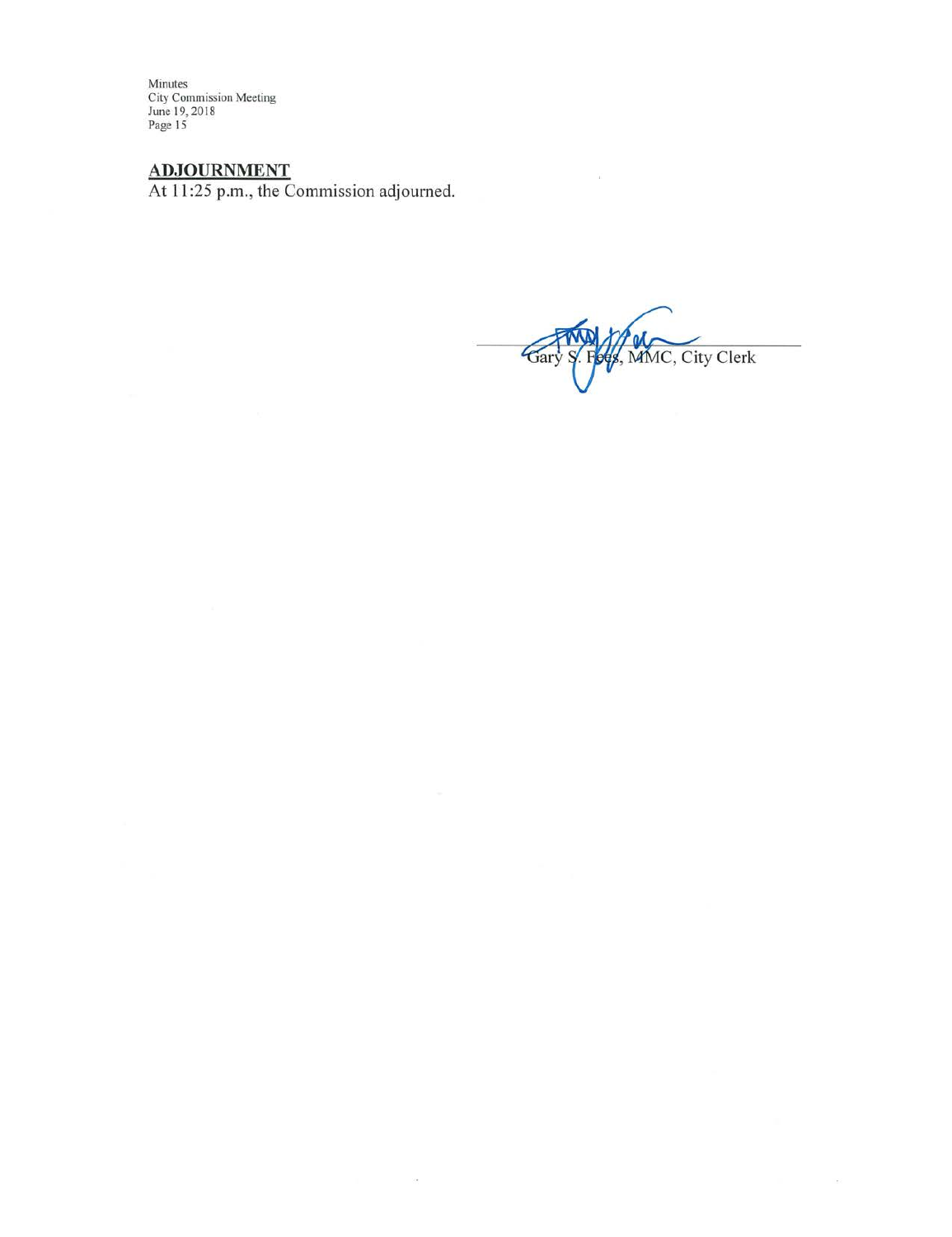Minutes<br>City Commission Meeting<br>June 19, 2018<br>Page 15

ADJOURNMENT<br>At 11:25 p.m., the Commission adjourned.

 $\alpha$ 

MMC, City Clerk Gary

 $\bar{\nu}$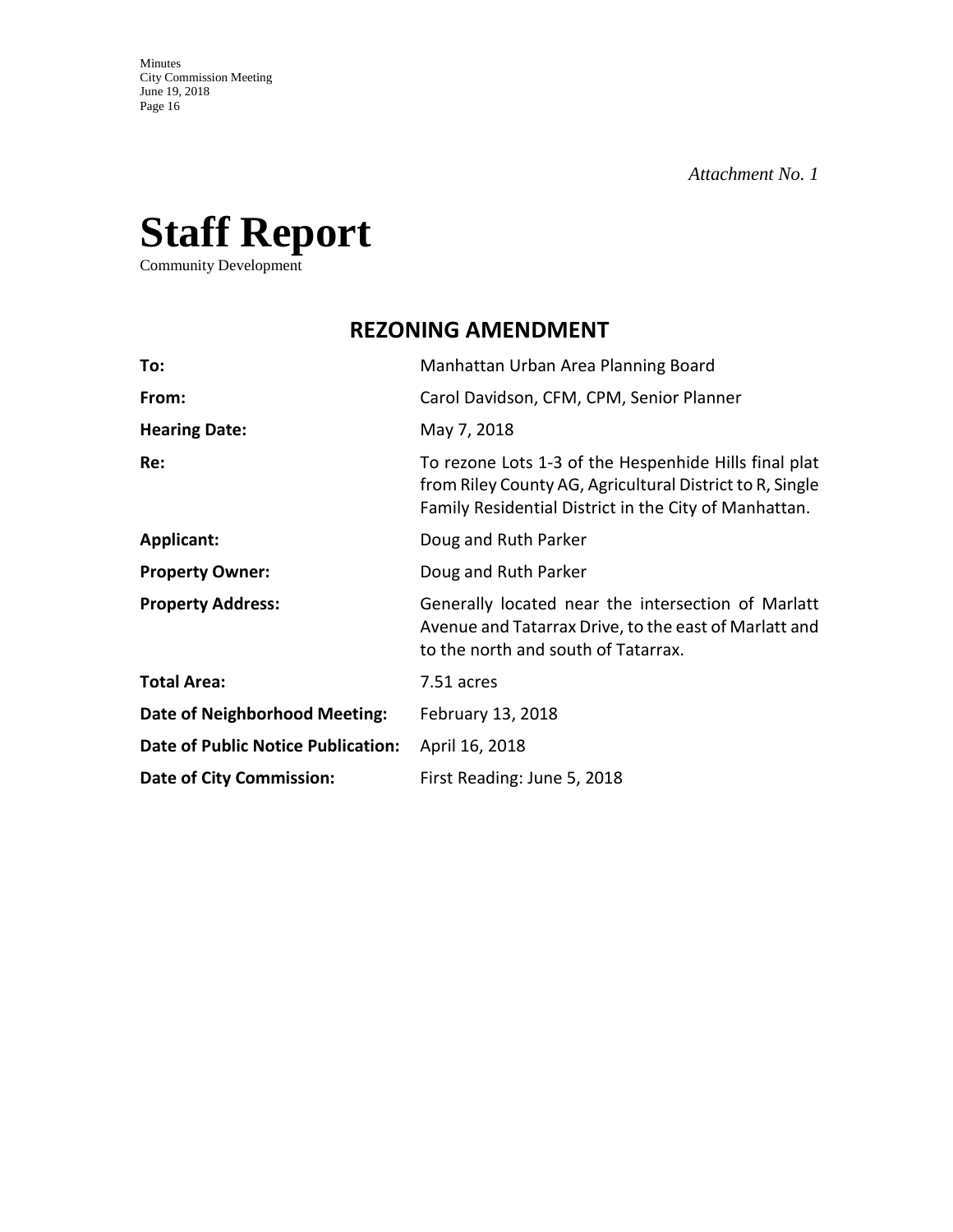# **Staff Report**

Community Development

# **REZONING AMENDMENT**

| To:                                | Manhattan Urban Area Planning Board                                                                                                                                        |
|------------------------------------|----------------------------------------------------------------------------------------------------------------------------------------------------------------------------|
| From:                              | Carol Davidson, CFM, CPM, Senior Planner                                                                                                                                   |
| <b>Hearing Date:</b>               | May 7, 2018                                                                                                                                                                |
| Re:                                | To rezone Lots 1-3 of the Hespenhide Hills final plat<br>from Riley County AG, Agricultural District to R, Single<br>Family Residential District in the City of Manhattan. |
| <b>Applicant:</b>                  | Doug and Ruth Parker                                                                                                                                                       |
| <b>Property Owner:</b>             | Doug and Ruth Parker                                                                                                                                                       |
| <b>Property Address:</b>           | Generally located near the intersection of Marlatt<br>Avenue and Tatarrax Drive, to the east of Marlatt and<br>to the north and south of Tatarrax.                         |
| <b>Total Area:</b>                 | 7.51 acres                                                                                                                                                                 |
| Date of Neighborhood Meeting:      | February 13, 2018                                                                                                                                                          |
| Date of Public Notice Publication: | April 16, 2018                                                                                                                                                             |
| <b>Date of City Commission:</b>    | First Reading: June 5, 2018                                                                                                                                                |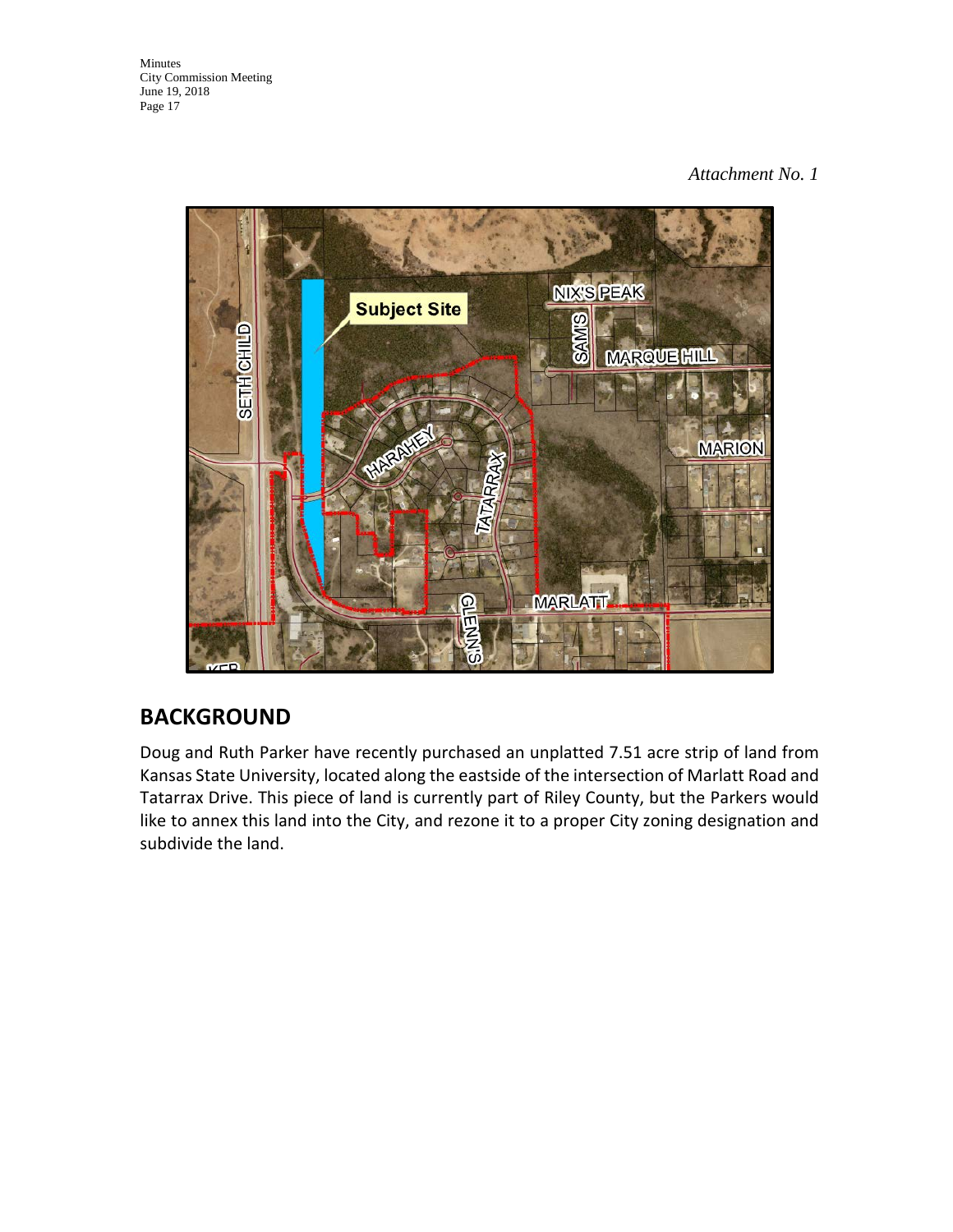

# **BACKGROUND**

Doug and Ruth Parker have recently purchased an unplatted 7.51 acre strip of land from Kansas State University, located along the eastside of the intersection of Marlatt Road and Tatarrax Drive. This piece of land is currently part of Riley County, but the Parkers would like to annex this land into the City, and rezone it to a proper City zoning designation and subdivide the land.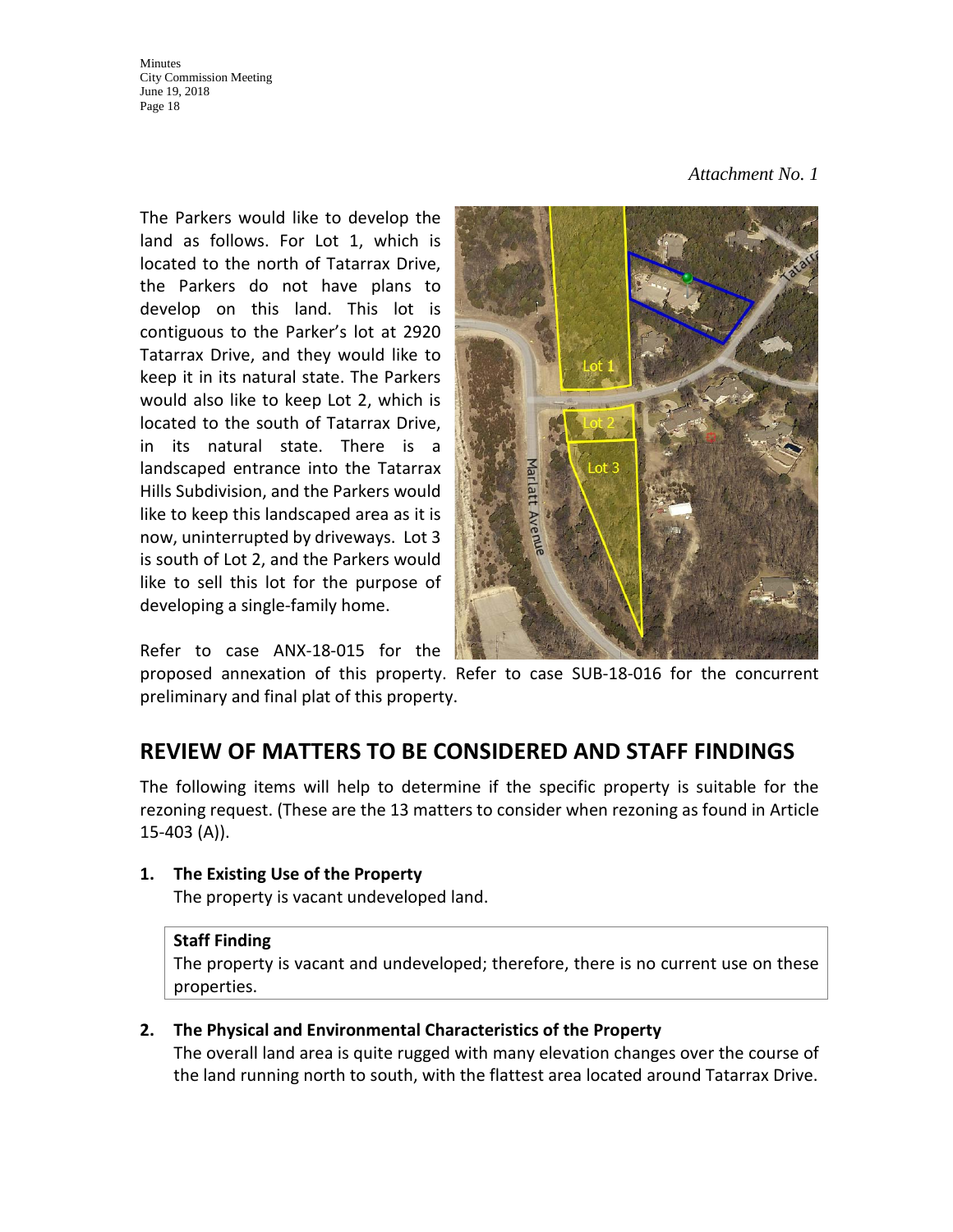**Minutes** City Commission Meeting June 19, 2018 Page 18

#### *Attachment No. 1*

The Parkers would like to develop the land as follows. For Lot 1, which is located to the north of Tatarrax Drive, the Parkers do not have plans to develop on this land. This lot is contiguous to the Parker's lot at 2920 Tatarrax Drive, and they would like to keep it in its natural state. The Parkers would also like to keep Lot 2, which is located to the south of Tatarrax Drive, in its natural state. There is a landscaped entrance into the Tatarrax Hills Subdivision, and the Parkers would like to keep this landscaped area as it is now, uninterrupted by driveways. Lot 3 is south of Lot 2, and the Parkers would like to sell this lot for the purpose of developing a single-family home.



Refer to case ANX-18-015 for the

proposed annexation of this property. Refer to case SUB-18-016 for the concurrent preliminary and final plat of this property.

# **REVIEW OF MATTERS TO BE CONSIDERED AND STAFF FINDINGS**

The following items will help to determine if the specific property is suitable for the rezoning request. (These are the 13 matters to consider when rezoning as found in Article 15-403 (A)).

**1. The Existing Use of the Property**

The property is vacant undeveloped land.

#### **Staff Finding**

The property is vacant and undeveloped; therefore, there is no current use on these properties.

#### **2. The Physical and Environmental Characteristics of the Property**

The overall land area is quite rugged with many elevation changes over the course of the land running north to south, with the flattest area located around Tatarrax Drive.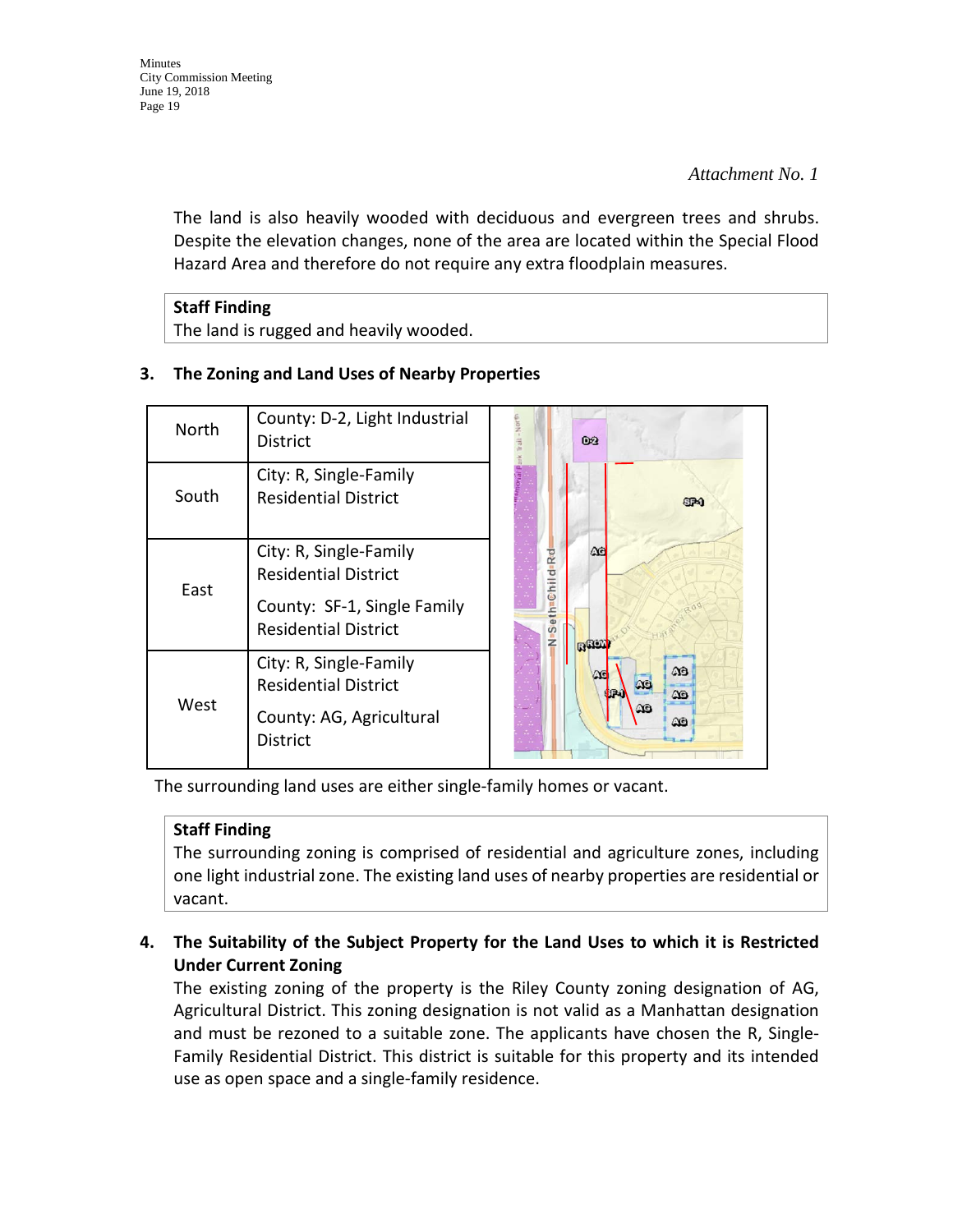The land is also heavily wooded with deciduous and evergreen trees and shrubs. Despite the elevation changes, none of the area are located within the Special Flood Hazard Area and therefore do not require any extra floodplain measures.

#### **Staff Finding** The land is rugged and heavily wooded.

| <b>North</b> | County: D-2, Light Industrial<br><b>District</b>                                                                    | D2                                               |
|--------------|---------------------------------------------------------------------------------------------------------------------|--------------------------------------------------|
| South        | City: R, Single-Family<br><b>Residential District</b>                                                               | 830                                              |
| East         | City: R, Single-Family<br><b>Residential District</b><br>County: SF-1, Single Family<br><b>Residential District</b> | $\Delta \epsilon$<br>-Rd<br>N=Seth=Child<br>RREN |
| West         | City: R, Single-Family<br><b>Residential District</b><br>County: AG, Agricultural<br><b>District</b>                | $\Omega$<br>AC<br>$\infty$<br>ΔG<br>Δē           |

#### **3. The Zoning and Land Uses of Nearby Properties**

The surrounding land uses are either single-family homes or vacant.

#### **Staff Finding**

The surrounding zoning is comprised of residential and agriculture zones, including one light industrial zone. The existing land uses of nearby properties are residential or vacant.

#### **4. The Suitability of the Subject Property for the Land Uses to which it is Restricted Under Current Zoning**

The existing zoning of the property is the Riley County zoning designation of AG, Agricultural District. This zoning designation is not valid as a Manhattan designation and must be rezoned to a suitable zone. The applicants have chosen the R, Single-Family Residential District. This district is suitable for this property and its intended use as open space and a single-family residence.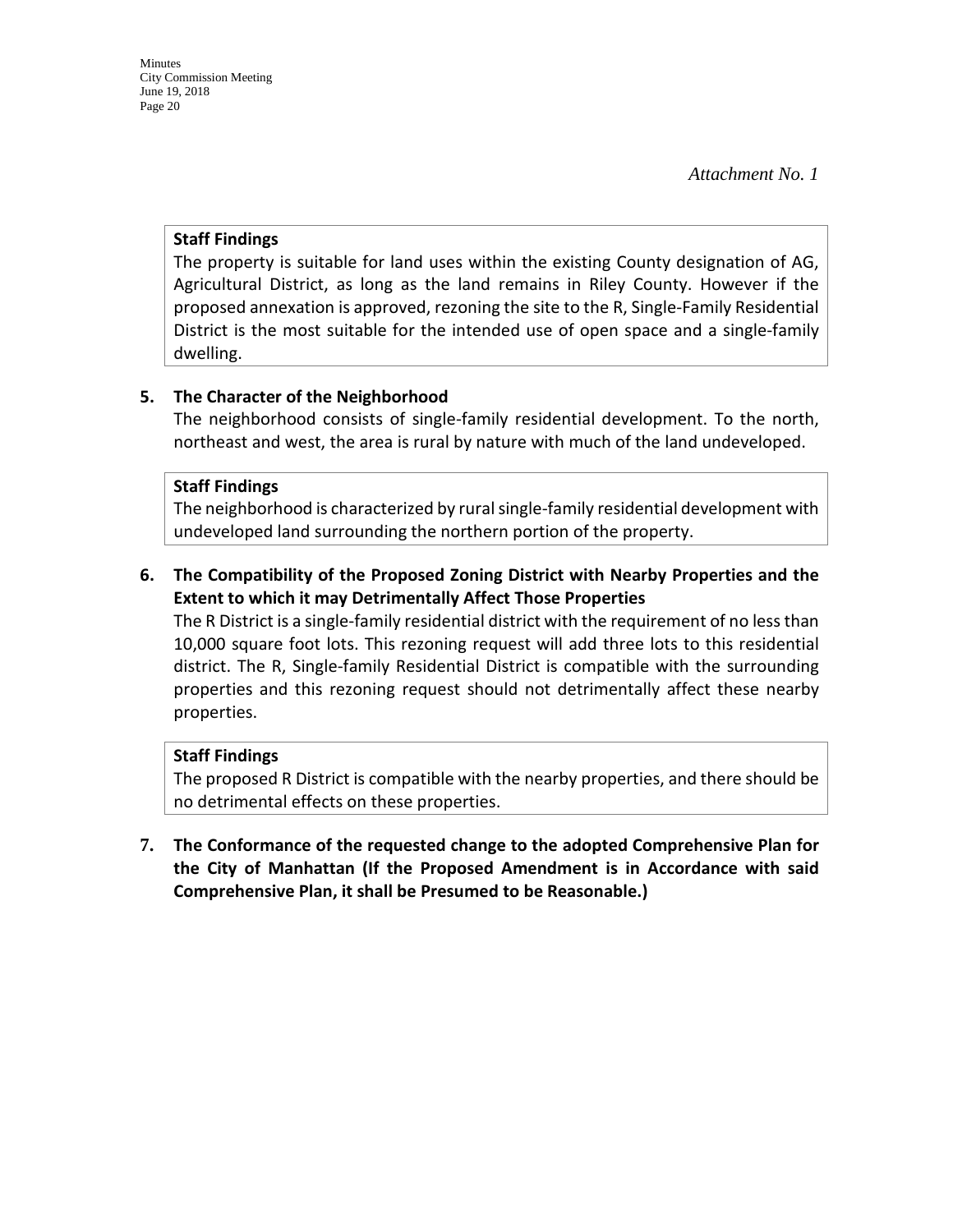#### **Staff Findings**

The property is suitable for land uses within the existing County designation of AG, Agricultural District, as long as the land remains in Riley County. However if the proposed annexation is approved, rezoning the site to the R, Single-Family Residential District is the most suitable for the intended use of open space and a single-family dwelling.

#### **5. The Character of the Neighborhood**

The neighborhood consists of single-family residential development. To the north, northeast and west, the area is rural by nature with much of the land undeveloped.

#### **Staff Findings**

The neighborhood is characterized by rural single-family residential development with undeveloped land surrounding the northern portion of the property.

#### **6. The Compatibility of the Proposed Zoning District with Nearby Properties and the Extent to which it may Detrimentally Affect Those Properties**

The R District is a single-family residential district with the requirement of no less than 10,000 square foot lots. This rezoning request will add three lots to this residential district. The R, Single-family Residential District is compatible with the surrounding properties and this rezoning request should not detrimentally affect these nearby properties.

#### **Staff Findings**

The proposed R District is compatible with the nearby properties, and there should be no detrimental effects on these properties.

**7. The Conformance of the requested change to the adopted Comprehensive Plan for the City of Manhattan (If the Proposed Amendment is in Accordance with said Comprehensive Plan, it shall be Presumed to be Reasonable.)**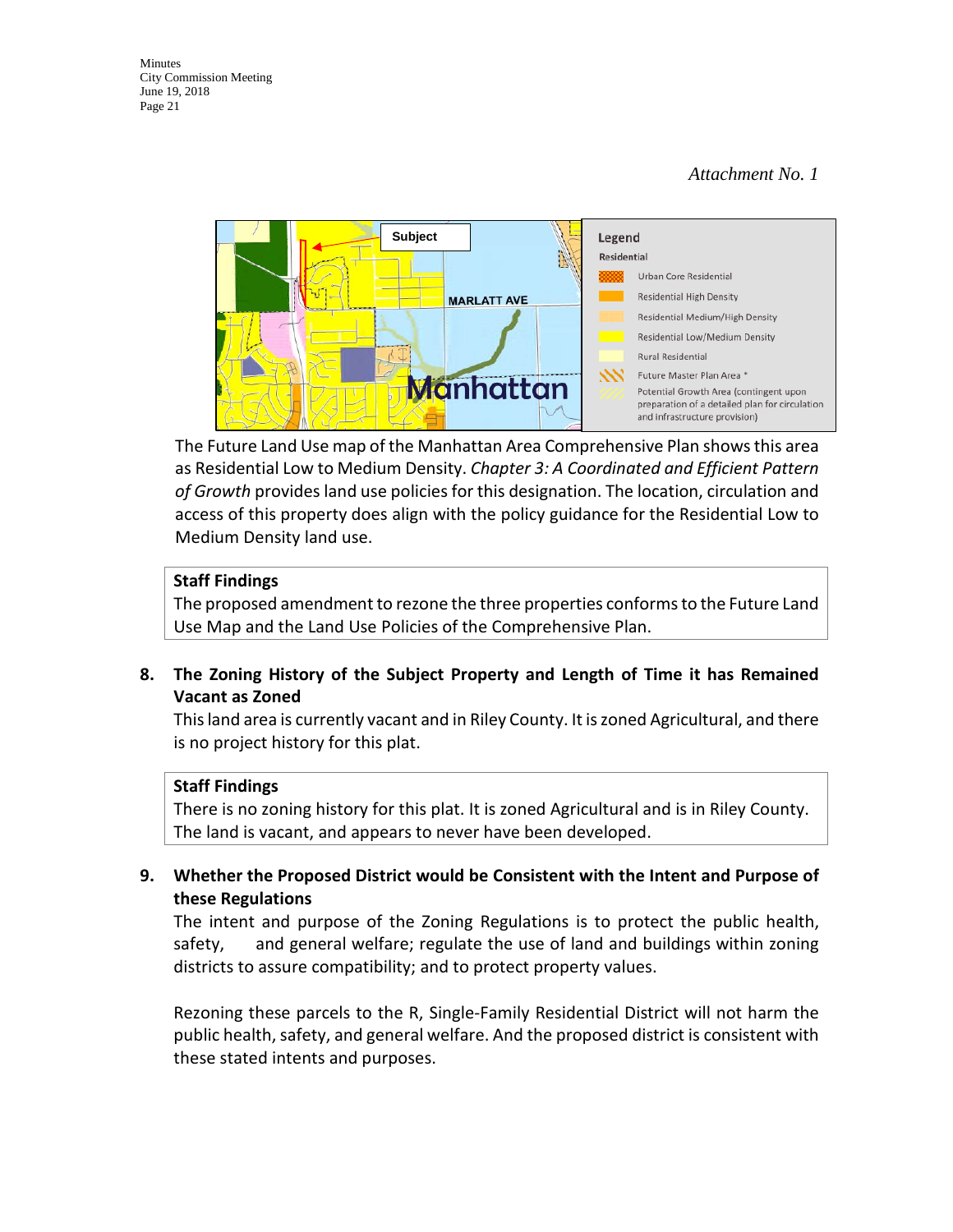

The Future Land Use map of the Manhattan Area Comprehensive Plan shows this area as Residential Low to Medium Density. *Chapter 3: A Coordinated and Efficient Pattern of Growth* provides land use policies for this designation. The location, circulation and access of this property does align with the policy guidance for the Residential Low to Medium Density land use.

#### **Staff Findings**

The proposed amendment to rezone the three properties conforms to the Future Land Use Map and the Land Use Policies of the Comprehensive Plan.

**8. The Zoning History of the Subject Property and Length of Time it has Remained Vacant as Zoned**

This land area is currently vacant and in Riley County. It is zoned Agricultural, and there is no project history for this plat.

#### **Staff Findings**

There is no zoning history for this plat. It is zoned Agricultural and is in Riley County. The land is vacant, and appears to never have been developed.

**9. Whether the Proposed District would be Consistent with the Intent and Purpose of these Regulations**

The intent and purpose of the Zoning Regulations is to protect the public health, safety, and general welfare; regulate the use of land and buildings within zoning districts to assure compatibility; and to protect property values.

Rezoning these parcels to the R, Single-Family Residential District will not harm the public health, safety, and general welfare. And the proposed district is consistent with these stated intents and purposes.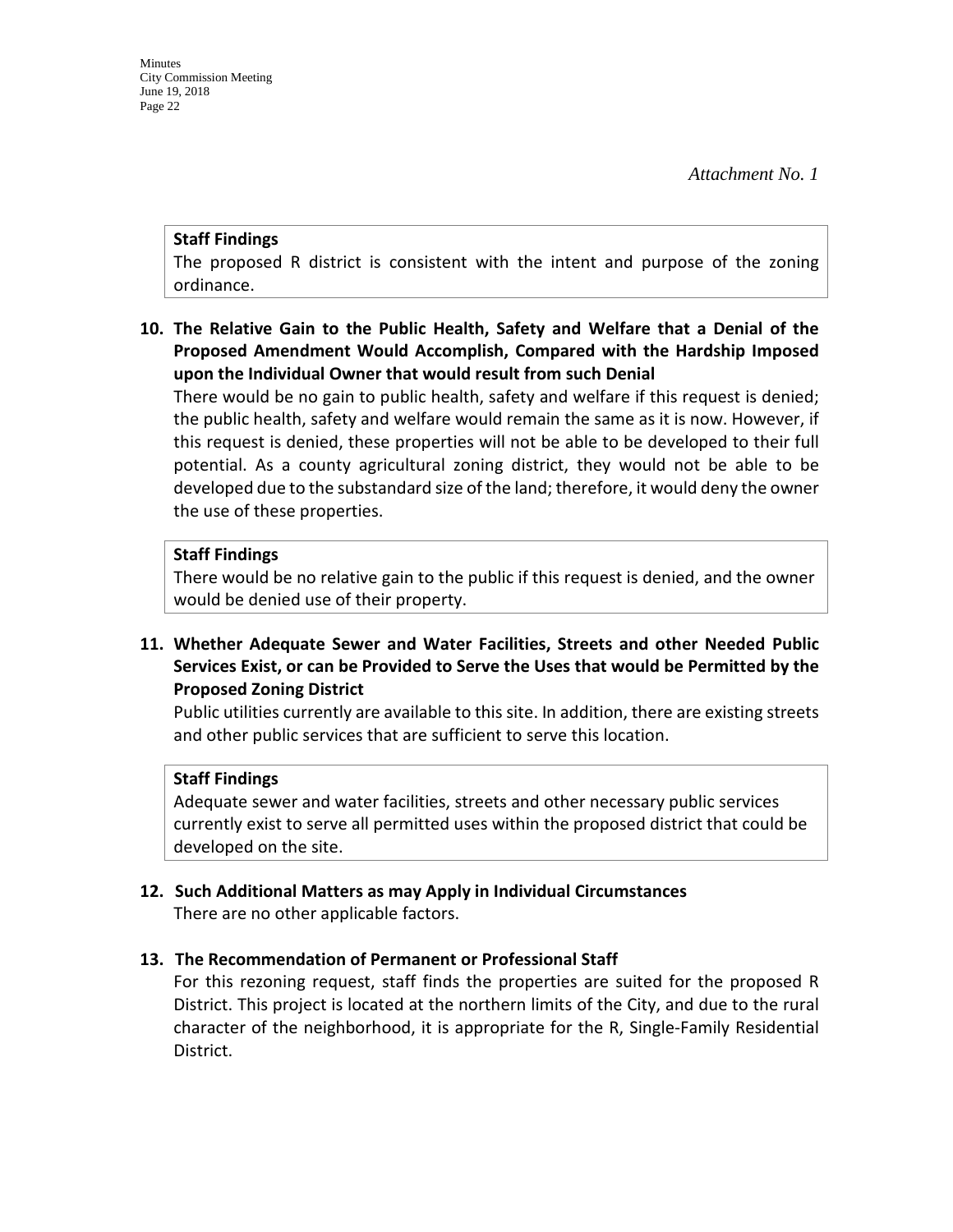#### **Staff Findings**

The proposed R district is consistent with the intent and purpose of the zoning ordinance.

**10. The Relative Gain to the Public Health, Safety and Welfare that a Denial of the Proposed Amendment Would Accomplish, Compared with the Hardship Imposed upon the Individual Owner that would result from such Denial**

There would be no gain to public health, safety and welfare if this request is denied; the public health, safety and welfare would remain the same as it is now. However, if this request is denied, these properties will not be able to be developed to their full potential. As a county agricultural zoning district, they would not be able to be developed due to the substandard size of the land; therefore, it would deny the owner the use of these properties.

#### **Staff Findings**

There would be no relative gain to the public if this request is denied, and the owner would be denied use of their property.

**11. Whether Adequate Sewer and Water Facilities, Streets and other Needed Public Services Exist, or can be Provided to Serve the Uses that would be Permitted by the Proposed Zoning District**

Public utilities currently are available to this site. In addition, there are existing streets and other public services that are sufficient to serve this location.

#### **Staff Findings**

Adequate sewer and water facilities, streets and other necessary public services currently exist to serve all permitted uses within the proposed district that could be developed on the site.

**12. Such Additional Matters as may Apply in Individual Circumstances** There are no other applicable factors.

#### **13. The Recommendation of Permanent or Professional Staff**

For this rezoning request, staff finds the properties are suited for the proposed R District. This project is located at the northern limits of the City, and due to the rural character of the neighborhood, it is appropriate for the R, Single-Family Residential District.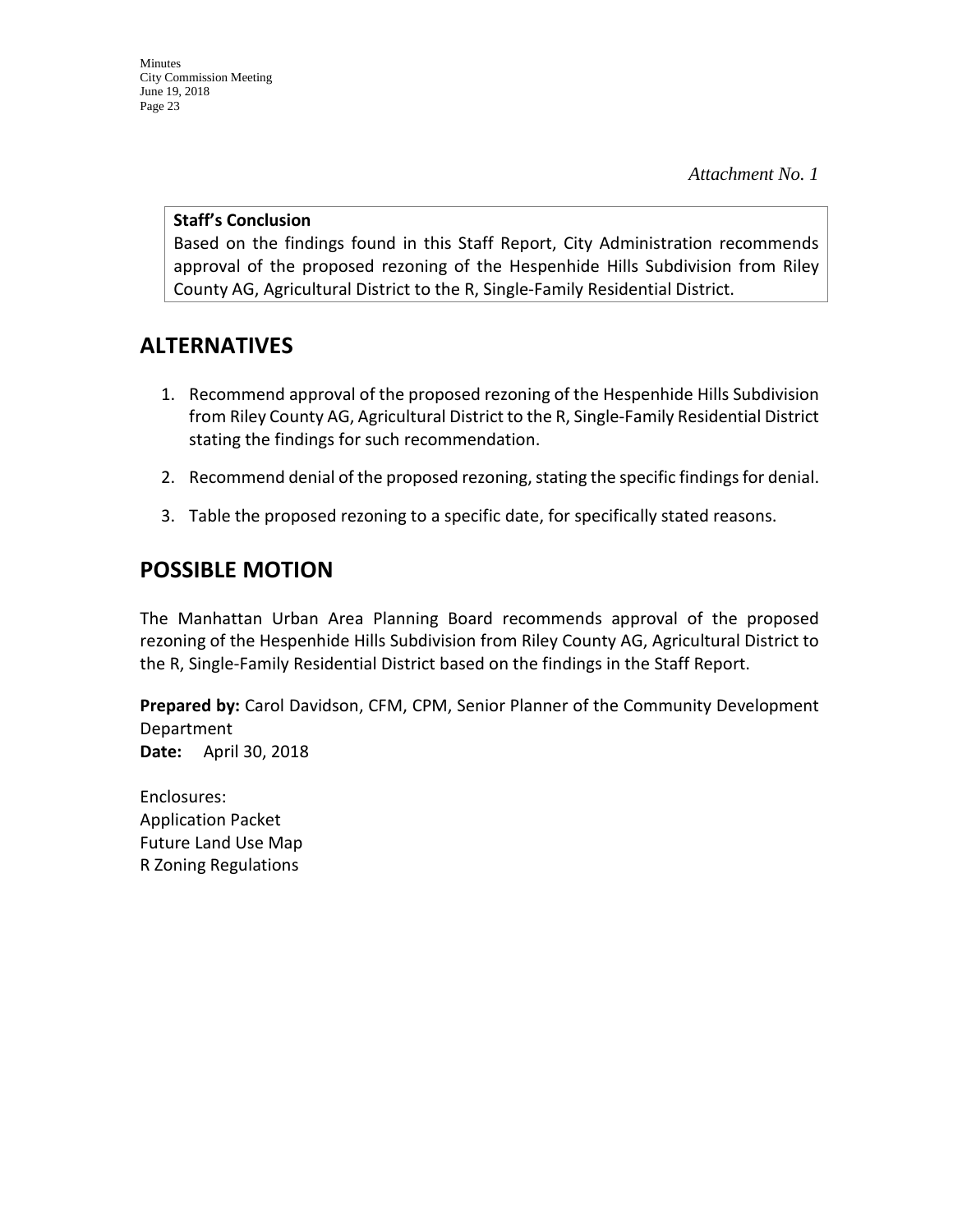#### **Staff's Conclusion**

Based on the findings found in this Staff Report, City Administration recommends approval of the proposed rezoning of the Hespenhide Hills Subdivision from Riley County AG, Agricultural District to the R, Single-Family Residential District.

# **ALTERNATIVES**

- 1. Recommend approval of the proposed rezoning of the Hespenhide Hills Subdivision from Riley County AG, Agricultural District to the R, Single-Family Residential District stating the findings for such recommendation.
- 2. Recommend denial of the proposed rezoning, stating the specific findings for denial.
- 3. Table the proposed rezoning to a specific date, for specifically stated reasons.

# **POSSIBLE MOTION**

The Manhattan Urban Area Planning Board recommends approval of the proposed rezoning of the Hespenhide Hills Subdivision from Riley County AG, Agricultural District to the R, Single-Family Residential District based on the findings in the Staff Report.

**Prepared by:** Carol Davidson, CFM, CPM, Senior Planner of the Community Development Department **Date:** April 30, 2018

Enclosures: Application Packet Future Land Use Map R Zoning Regulations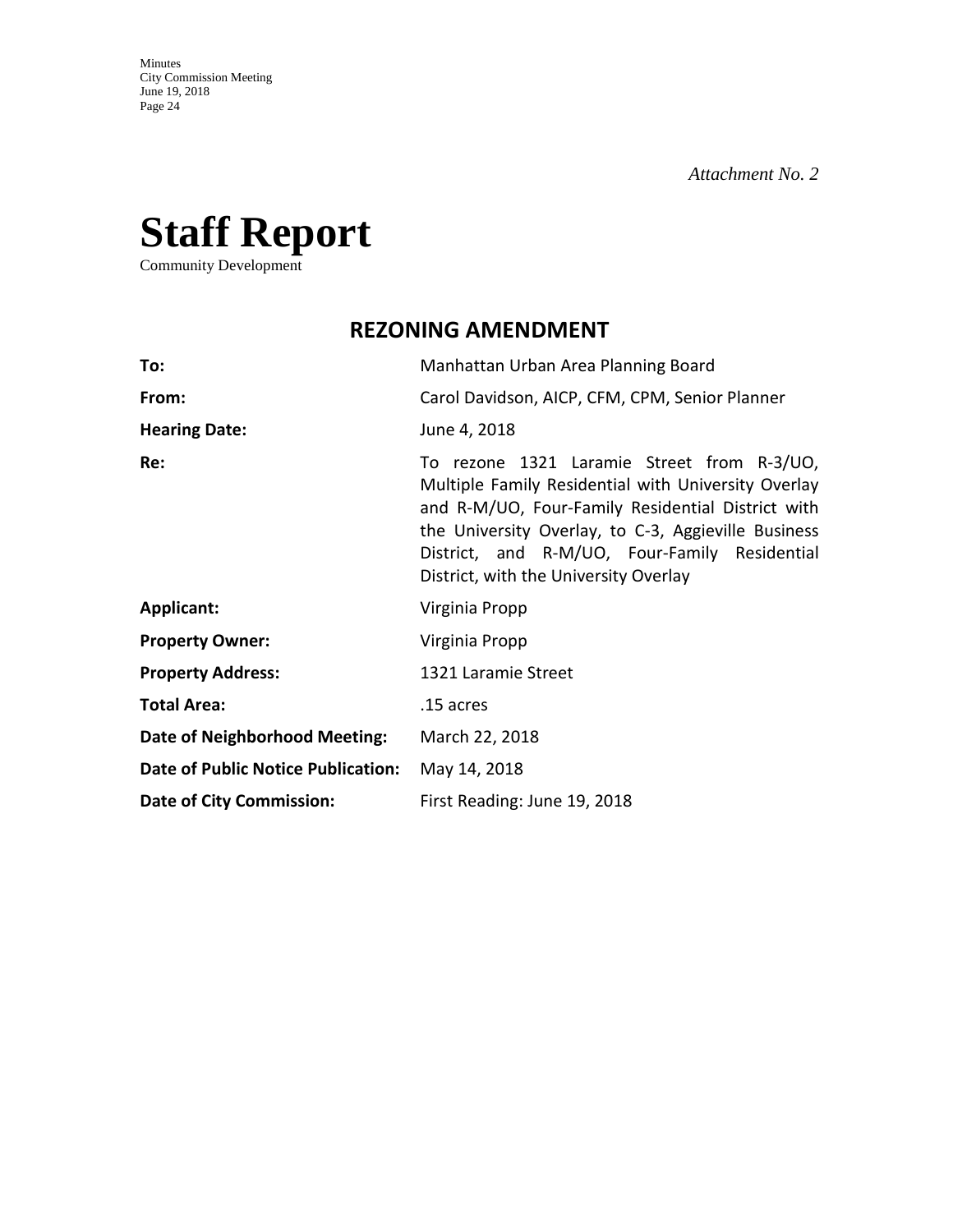

Community Development

# **REZONING AMENDMENT**

| To:                                       | Manhattan Urban Area Planning Board                                                                                                                                                                                                                                                                     |
|-------------------------------------------|---------------------------------------------------------------------------------------------------------------------------------------------------------------------------------------------------------------------------------------------------------------------------------------------------------|
| From:                                     | Carol Davidson, AICP, CFM, CPM, Senior Planner                                                                                                                                                                                                                                                          |
| <b>Hearing Date:</b>                      | June 4, 2018                                                                                                                                                                                                                                                                                            |
| Re:                                       | To rezone 1321 Laramie Street from R-3/UO,<br>Multiple Family Residential with University Overlay<br>and R-M/UO, Four-Family Residential District with<br>the University Overlay, to C-3, Aggieville Business<br>District, and R-M/UO, Four-Family Residential<br>District, with the University Overlay |
| <b>Applicant:</b>                         | Virginia Propp                                                                                                                                                                                                                                                                                          |
| <b>Property Owner:</b>                    | Virginia Propp                                                                                                                                                                                                                                                                                          |
| <b>Property Address:</b>                  | 1321 Laramie Street                                                                                                                                                                                                                                                                                     |
| <b>Total Area:</b>                        | .15 acres                                                                                                                                                                                                                                                                                               |
| Date of Neighborhood Meeting:             | March 22, 2018                                                                                                                                                                                                                                                                                          |
| <b>Date of Public Notice Publication:</b> | May 14, 2018                                                                                                                                                                                                                                                                                            |
| <b>Date of City Commission:</b>           | First Reading: June 19, 2018                                                                                                                                                                                                                                                                            |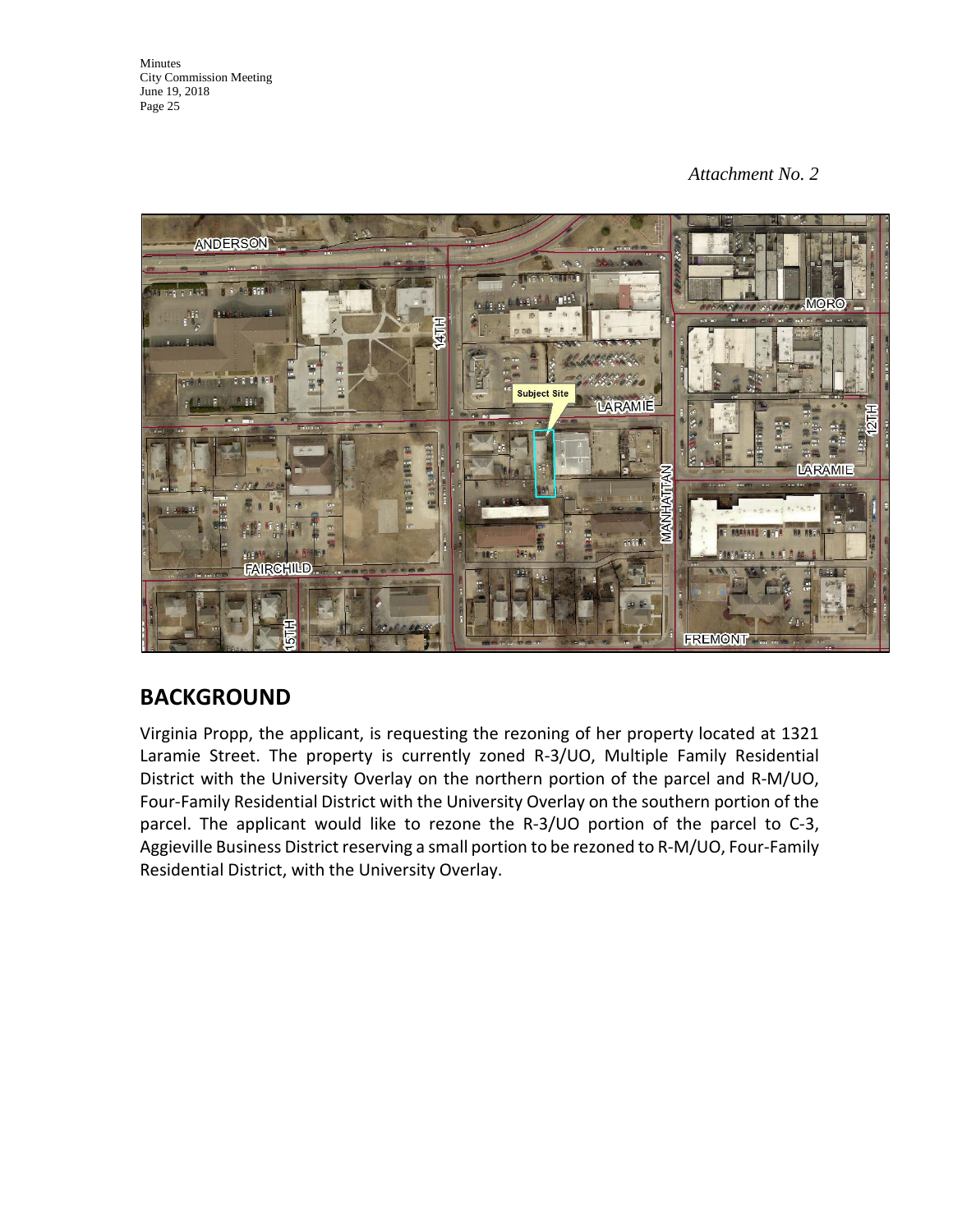Minutes City Commission Meeting June 19, 2018 Page 25

#### *Attachment No. 2*



# **BACKGROUND**

Virginia Propp, the applicant, is requesting the rezoning of her property located at 1321 Laramie Street. The property is currently zoned R-3/UO, Multiple Family Residential District with the University Overlay on the northern portion of the parcel and R-M/UO, Four-Family Residential District with the University Overlay on the southern portion of the parcel. The applicant would like to rezone the R-3/UO portion of the parcel to C-3, Aggieville Business District reserving a small portion to be rezoned to R-M/UO, Four-Family Residential District, with the University Overlay.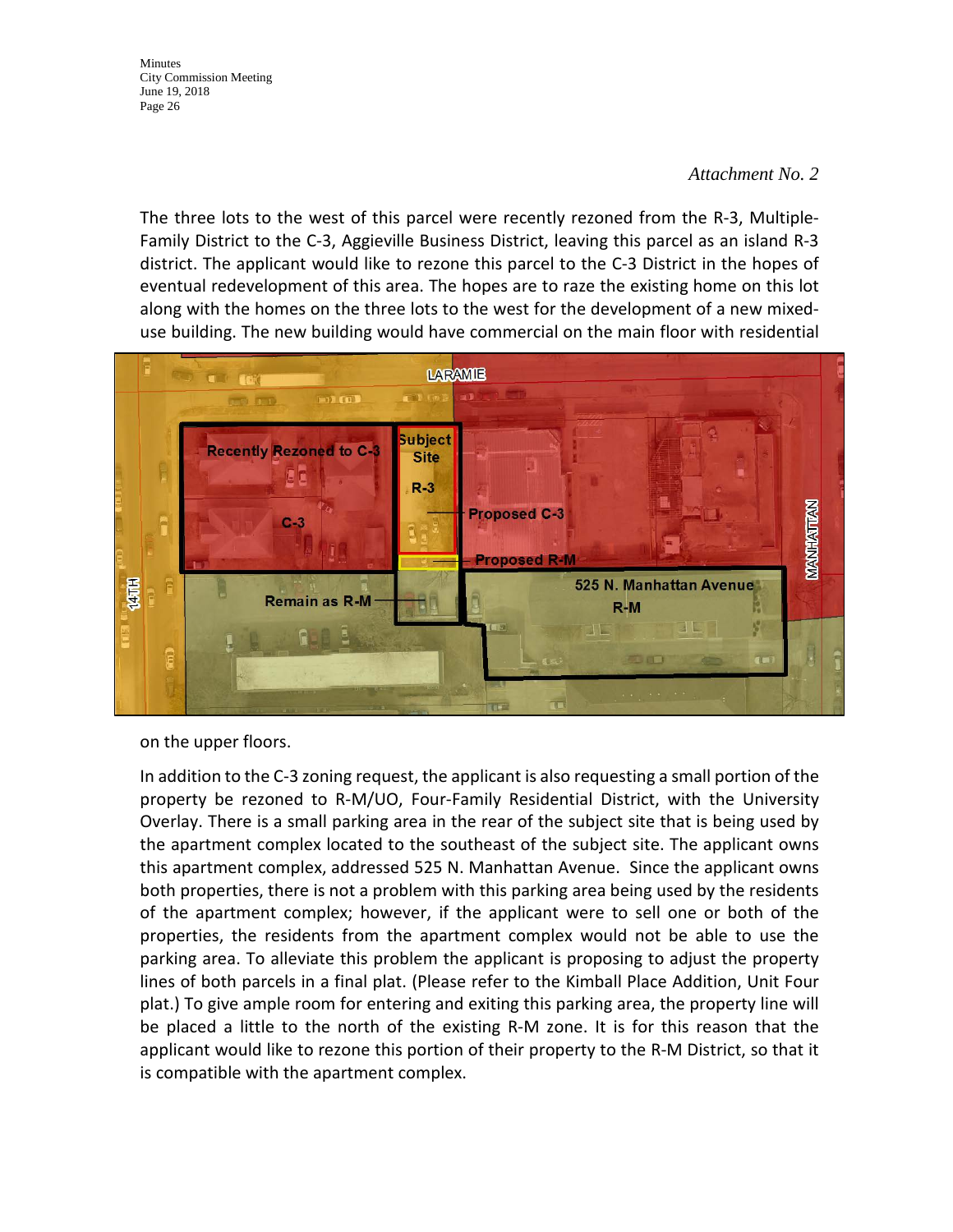Minutes City Commission Meeting June 19, 2018 Page 26

#### *Attachment No. 2*

The three lots to the west of this parcel were recently rezoned from the R-3, Multiple-Family District to the C-3, Aggieville Business District, leaving this parcel as an island R-3 district. The applicant would like to rezone this parcel to the C-3 District in the hopes of eventual redevelopment of this area. The hopes are to raze the existing home on this lot along with the homes on the three lots to the west for the development of a new mixeduse building. The new building would have commercial on the main floor with residential



on the upper floors.

In addition to the C-3 zoning request, the applicant is also requesting a small portion of the property be rezoned to R-M/UO, Four-Family Residential District, with the University Overlay. There is a small parking area in the rear of the subject site that is being used by the apartment complex located to the southeast of the subject site. The applicant owns this apartment complex, addressed 525 N. Manhattan Avenue. Since the applicant owns both properties, there is not a problem with this parking area being used by the residents of the apartment complex; however, if the applicant were to sell one or both of the properties, the residents from the apartment complex would not be able to use the parking area. To alleviate this problem the applicant is proposing to adjust the property lines of both parcels in a final plat. (Please refer to the Kimball Place Addition, Unit Four plat.) To give ample room for entering and exiting this parking area, the property line will be placed a little to the north of the existing R-M zone. It is for this reason that the applicant would like to rezone this portion of their property to the R-M District, so that it is compatible with the apartment complex.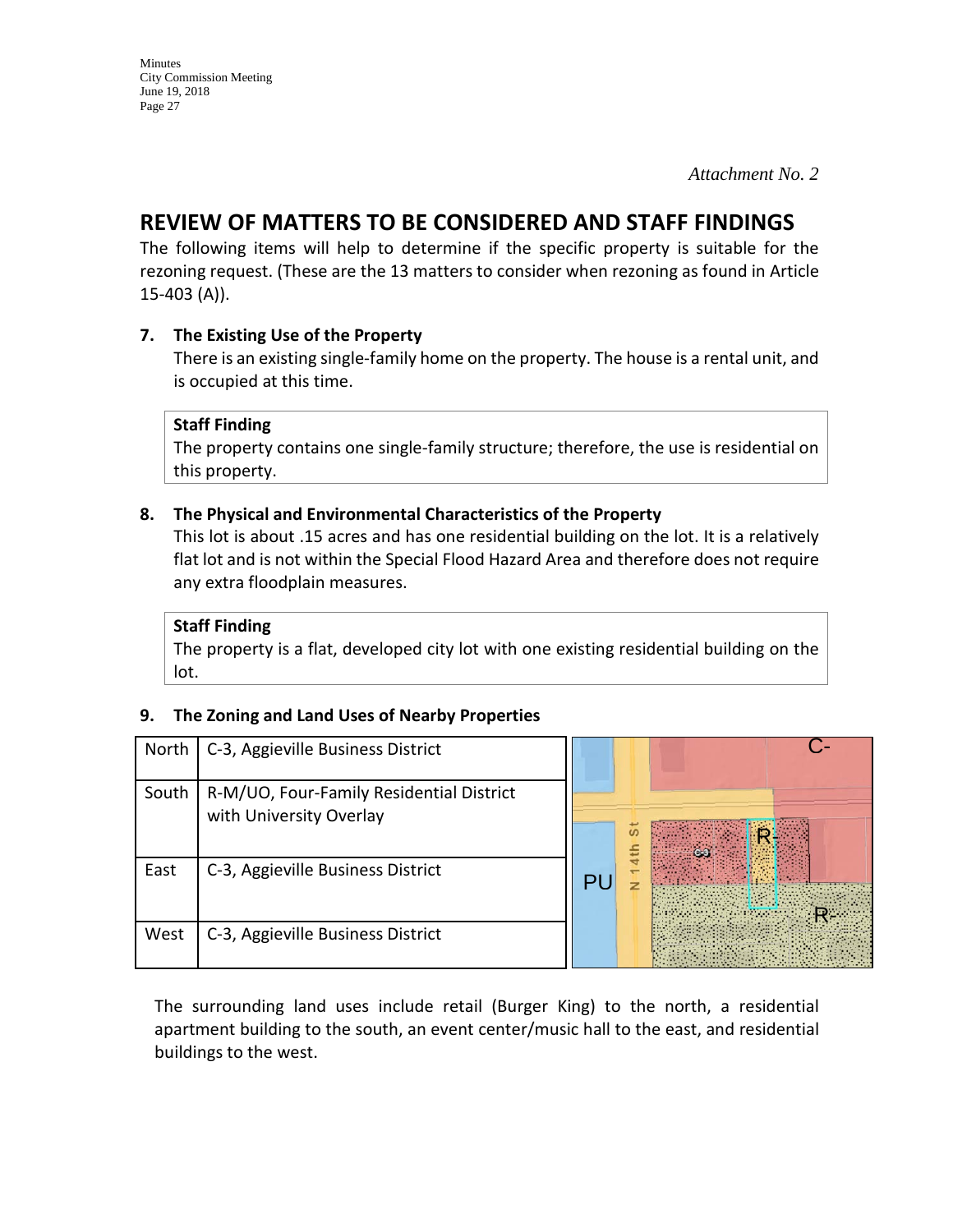# **REVIEW OF MATTERS TO BE CONSIDERED AND STAFF FINDINGS**

The following items will help to determine if the specific property is suitable for the rezoning request. (These are the 13 matters to consider when rezoning as found in Article 15-403 (A)).

#### **7. The Existing Use of the Property**

There is an existing single-family home on the property. The house is a rental unit, and is occupied at this time.

#### **Staff Finding**

The property contains one single-family structure; therefore, the use is residential on this property.

#### **8. The Physical and Environmental Characteristics of the Property**

This lot is about .15 acres and has one residential building on the lot. It is a relatively flat lot and is not within the Special Flood Hazard Area and therefore does not require any extra floodplain measures.

#### **Staff Finding**

The property is a flat, developed city lot with one existing residential building on the lot.

#### **9. The Zoning and Land Uses of Nearby Properties**

| North | C-3, Aggieville Business District                                   |    |            |
|-------|---------------------------------------------------------------------|----|------------|
| South | R-M/UO, Four-Family Residential District<br>with University Overlay |    | $\epsilon$ |
| East  | C-3, Aggieville Business District                                   | PL |            |
| West  | C-3, Aggieville Business District                                   |    |            |

The surrounding land uses include retail (Burger King) to the north, a residential apartment building to the south, an event center/music hall to the east, and residential buildings to the west.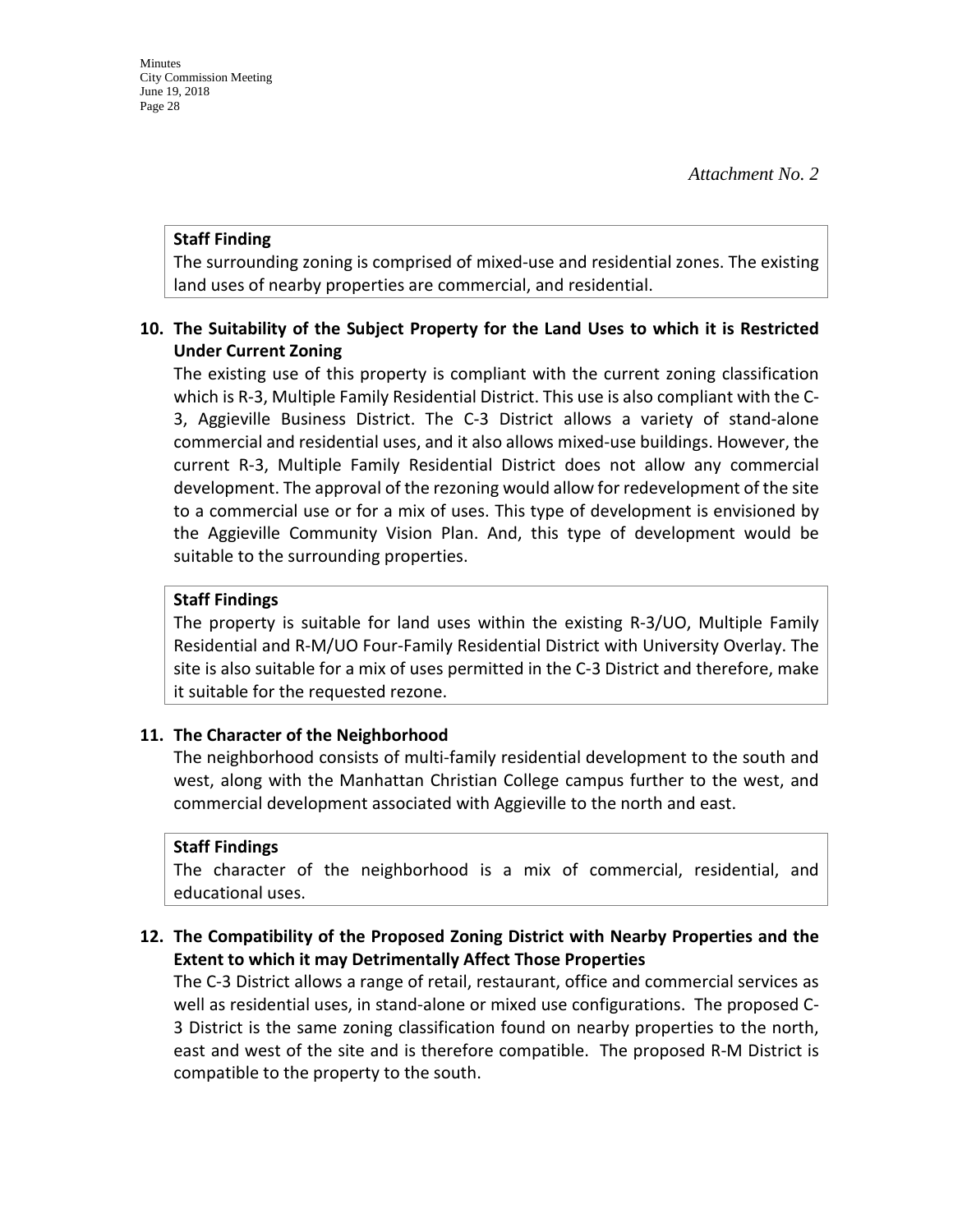#### **Staff Finding**

The surrounding zoning is comprised of mixed-use and residential zones. The existing land uses of nearby properties are commercial, and residential.

#### **10. The Suitability of the Subject Property for the Land Uses to which it is Restricted Under Current Zoning**

The existing use of this property is compliant with the current zoning classification which is R-3, Multiple Family Residential District. This use is also compliant with the C-3, Aggieville Business District. The C-3 District allows a variety of stand-alone commercial and residential uses, and it also allows mixed-use buildings. However, the current R-3, Multiple Family Residential District does not allow any commercial development. The approval of the rezoning would allow for redevelopment of the site to a commercial use or for a mix of uses. This type of development is envisioned by the Aggieville Community Vision Plan. And, this type of development would be suitable to the surrounding properties.

#### **Staff Findings**

The property is suitable for land uses within the existing R-3/UO, Multiple Family Residential and R-M/UO Four-Family Residential District with University Overlay. The site is also suitable for a mix of uses permitted in the C-3 District and therefore, make it suitable for the requested rezone.

#### **11. The Character of the Neighborhood**

The neighborhood consists of multi-family residential development to the south and west, along with the Manhattan Christian College campus further to the west, and commercial development associated with Aggieville to the north and east.

#### **Staff Findings**

The character of the neighborhood is a mix of commercial, residential, and educational uses.

#### **12. The Compatibility of the Proposed Zoning District with Nearby Properties and the Extent to which it may Detrimentally Affect Those Properties**

The C-3 District allows a range of retail, restaurant, office and commercial services as well as residential uses, in stand-alone or mixed use configurations. The proposed C-3 District is the same zoning classification found on nearby properties to the north, east and west of the site and is therefore compatible. The proposed R-M District is compatible to the property to the south.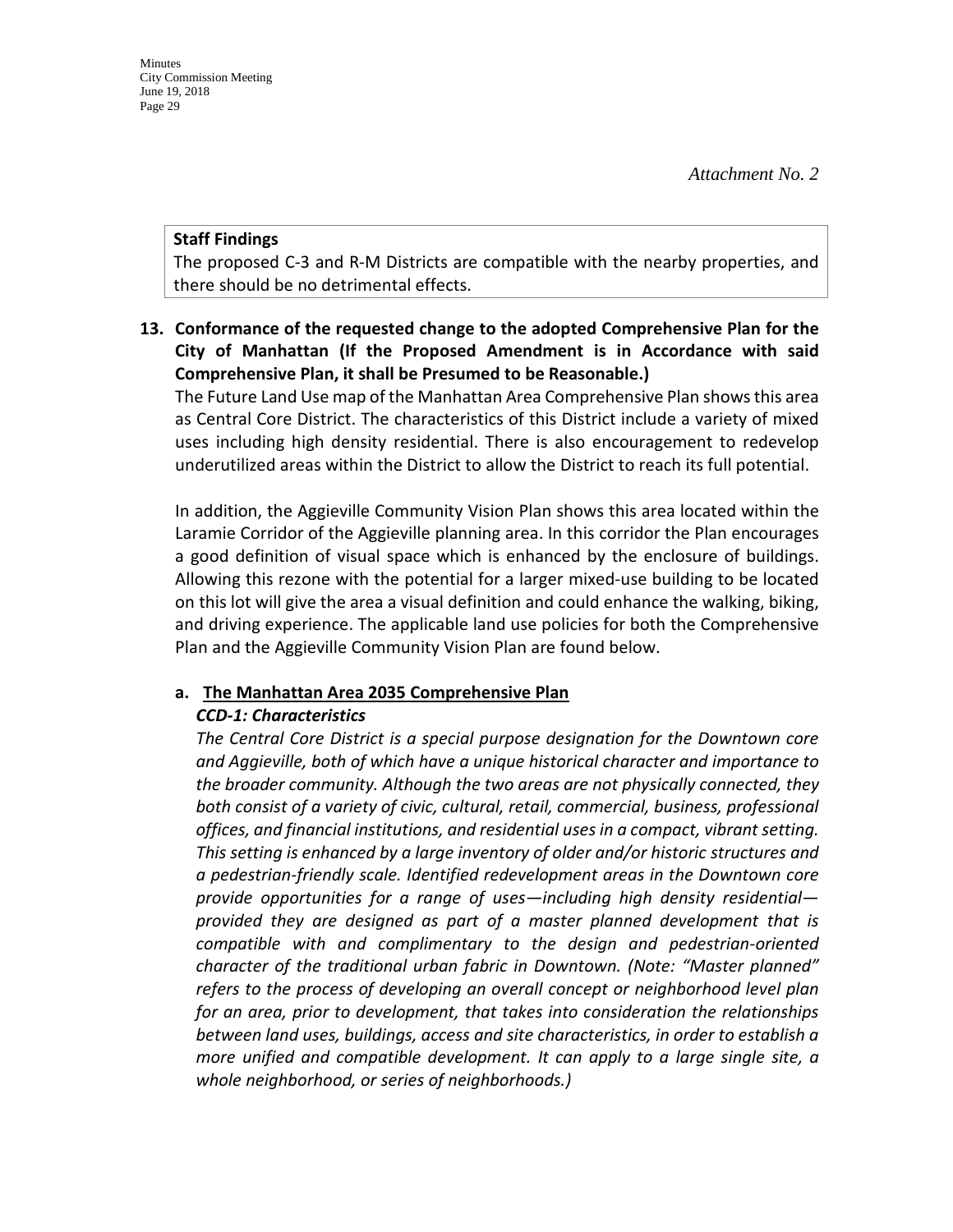#### **Staff Findings**

The proposed C-3 and R-M Districts are compatible with the nearby properties, and there should be no detrimental effects.

#### **13. Conformance of the requested change to the adopted Comprehensive Plan for the City of Manhattan (If the Proposed Amendment is in Accordance with said Comprehensive Plan, it shall be Presumed to be Reasonable.)**

The Future Land Use map of the Manhattan Area Comprehensive Plan shows this area as Central Core District. The characteristics of this District include a variety of mixed uses including high density residential. There is also encouragement to redevelop underutilized areas within the District to allow the District to reach its full potential.

In addition, the Aggieville Community Vision Plan shows this area located within the Laramie Corridor of the Aggieville planning area. In this corridor the Plan encourages a good definition of visual space which is enhanced by the enclosure of buildings. Allowing this rezone with the potential for a larger mixed-use building to be located on this lot will give the area a visual definition and could enhance the walking, biking, and driving experience. The applicable land use policies for both the Comprehensive Plan and the Aggieville Community Vision Plan are found below.

#### **a. The Manhattan Area 2035 Comprehensive Plan**

#### *CCD-1: Characteristics*

*The Central Core District is a special purpose designation for the Downtown core and Aggieville, both of which have a unique historical character and importance to the broader community. Although the two areas are not physically connected, they both consist of a variety of civic, cultural, retail, commercial, business, professional offices, and financial institutions, and residential uses in a compact, vibrant setting. This setting is enhanced by a large inventory of older and/or historic structures and a pedestrian-friendly scale. Identified redevelopment areas in the Downtown core provide opportunities for a range of uses—including high density residential provided they are designed as part of a master planned development that is compatible with and complimentary to the design and pedestrian-oriented character of the traditional urban fabric in Downtown. (Note: "Master planned" refers to the process of developing an overall concept or neighborhood level plan for an area, prior to development, that takes into consideration the relationships between land uses, buildings, access and site characteristics, in order to establish a more unified and compatible development. It can apply to a large single site, a whole neighborhood, or series of neighborhoods.)*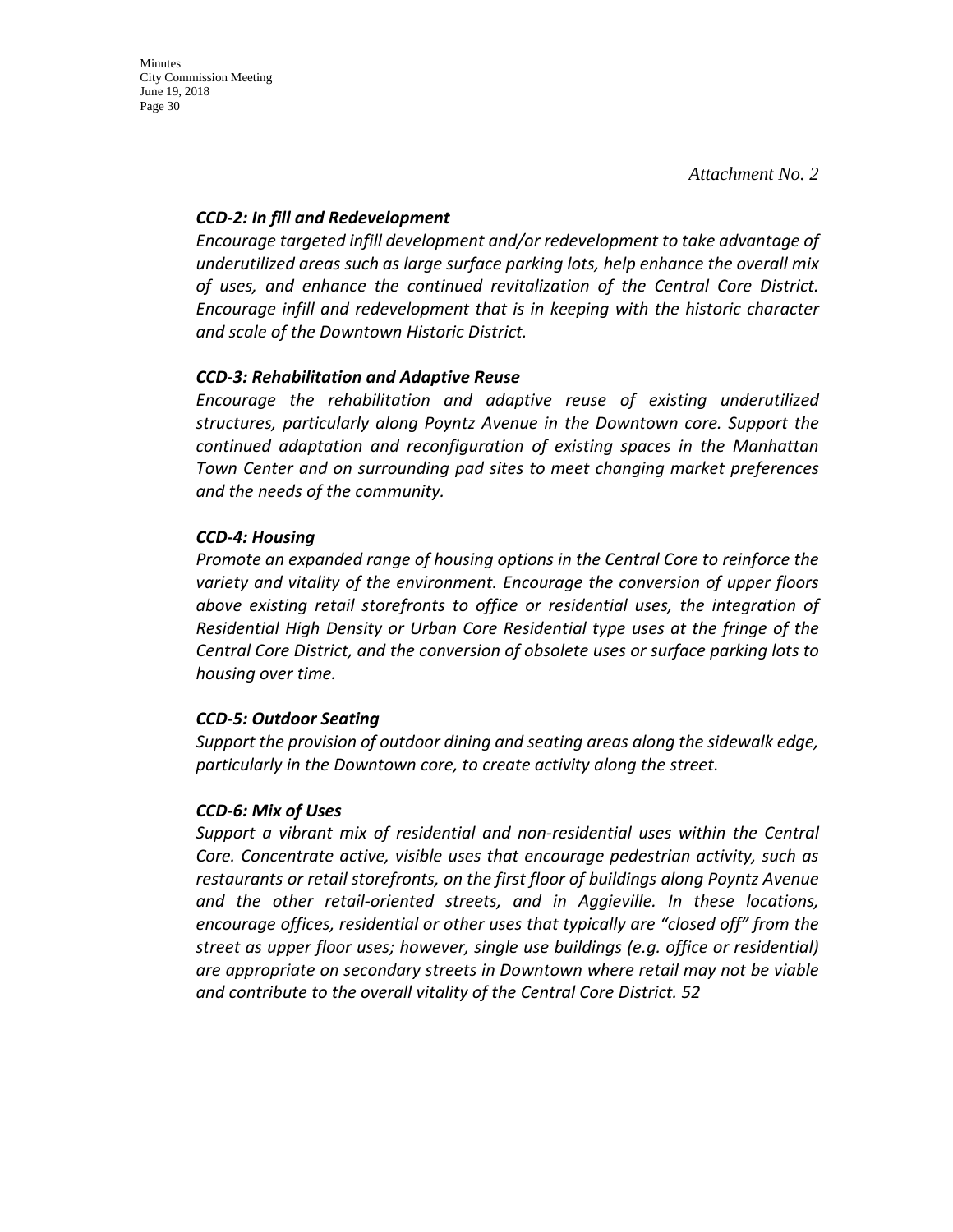#### *CCD-2: In fill and Redevelopment*

*Encourage targeted infill development and/or redevelopment to take advantage of underutilized areas such as large surface parking lots, help enhance the overall mix of uses, and enhance the continued revitalization of the Central Core District. Encourage infill and redevelopment that is in keeping with the historic character and scale of the Downtown Historic District.* 

#### *CCD-3: Rehabilitation and Adaptive Reuse*

*Encourage the rehabilitation and adaptive reuse of existing underutilized structures, particularly along Poyntz Avenue in the Downtown core. Support the continued adaptation and reconfiguration of existing spaces in the Manhattan Town Center and on surrounding pad sites to meet changing market preferences and the needs of the community.* 

#### *CCD-4: Housing*

*Promote an expanded range of housing options in the Central Core to reinforce the variety and vitality of the environment. Encourage the conversion of upper floors above existing retail storefronts to office or residential uses, the integration of Residential High Density or Urban Core Residential type uses at the fringe of the Central Core District, and the conversion of obsolete uses or surface parking lots to housing over time.* 

#### *CCD-5: Outdoor Seating*

*Support the provision of outdoor dining and seating areas along the sidewalk edge, particularly in the Downtown core, to create activity along the street.* 

#### *CCD-6: Mix of Uses*

Support a vibrant mix of residential and non-residential uses within the Central *Core. Concentrate active, visible uses that encourage pedestrian activity, such as restaurants or retail storefronts, on the first floor of buildings along Poyntz Avenue and the other retail-oriented streets, and in Aggieville. In these locations, encourage offices, residential or other uses that typically are "closed off" from the street as upper floor uses; however, single use buildings (e.g. office or residential) are appropriate on secondary streets in Downtown where retail may not be viable and contribute to the overall vitality of the Central Core District. 52*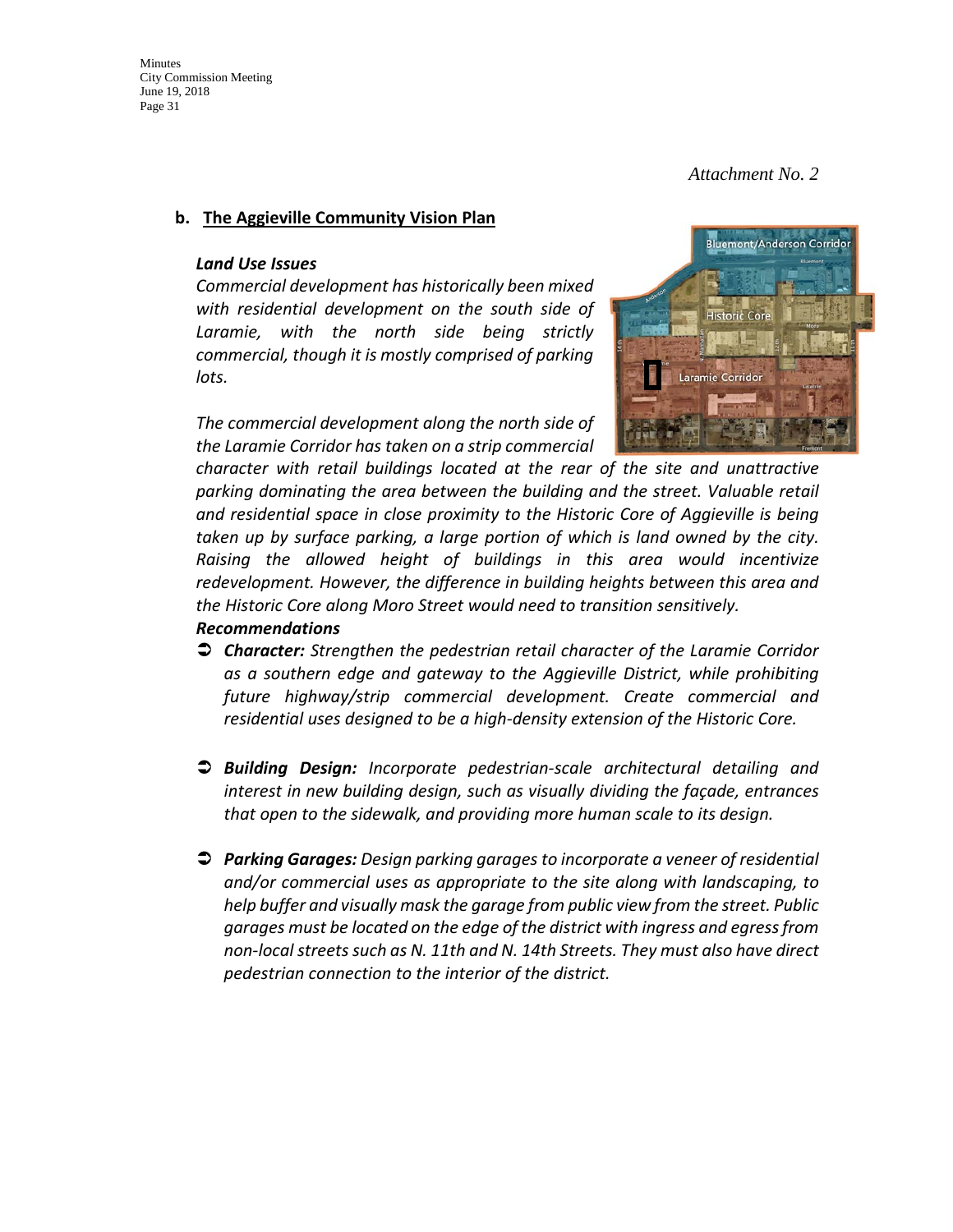#### **Minutes** City Commission Meeting June 19, 2018 Page 31

#### **b. The Aggieville Community Vision Plan**

#### *Land Use Issues*

*Commercial development has historically been mixed with residential development on the south side of Laramie, with the north side being strictly commercial, though it is mostly comprised of parking lots.*

*The commercial development along the north side of the Laramie Corridor has taken on a strip commercial* 



*character with retail buildings located at the rear of the site and unattractive parking dominating the area between the building and the street. Valuable retail and residential space in close proximity to the Historic Core of Aggieville is being taken up by surface parking, a large portion of which is land owned by the city. Raising the allowed height of buildings in this area would incentivize redevelopment. However, the difference in building heights between this area and the Historic Core along Moro Street would need to transition sensitively.* 

#### *Recommendations*

- *Character: Strengthen the pedestrian retail character of the Laramie Corridor as a southern edge and gateway to the Aggieville District, while prohibiting future highway/strip commercial development. Create commercial and residential uses designed to be a high-density extension of the Historic Core.*
- *Building Design: Incorporate pedestrian-scale architectural detailing and interest in new building design, such as visually dividing the façade, entrances that open to the sidewalk, and providing more human scale to its design.*
- *Parking Garages: Design parking garages to incorporate a veneer of residential and/or commercial uses as appropriate to the site along with landscaping, to help buffer and visually mask the garage from public view from the street. Public garages must be located on the edge of the district with ingress and egress from non-local streets such as N. 11th and N. 14th Streets. They must also have direct pedestrian connection to the interior of the district.*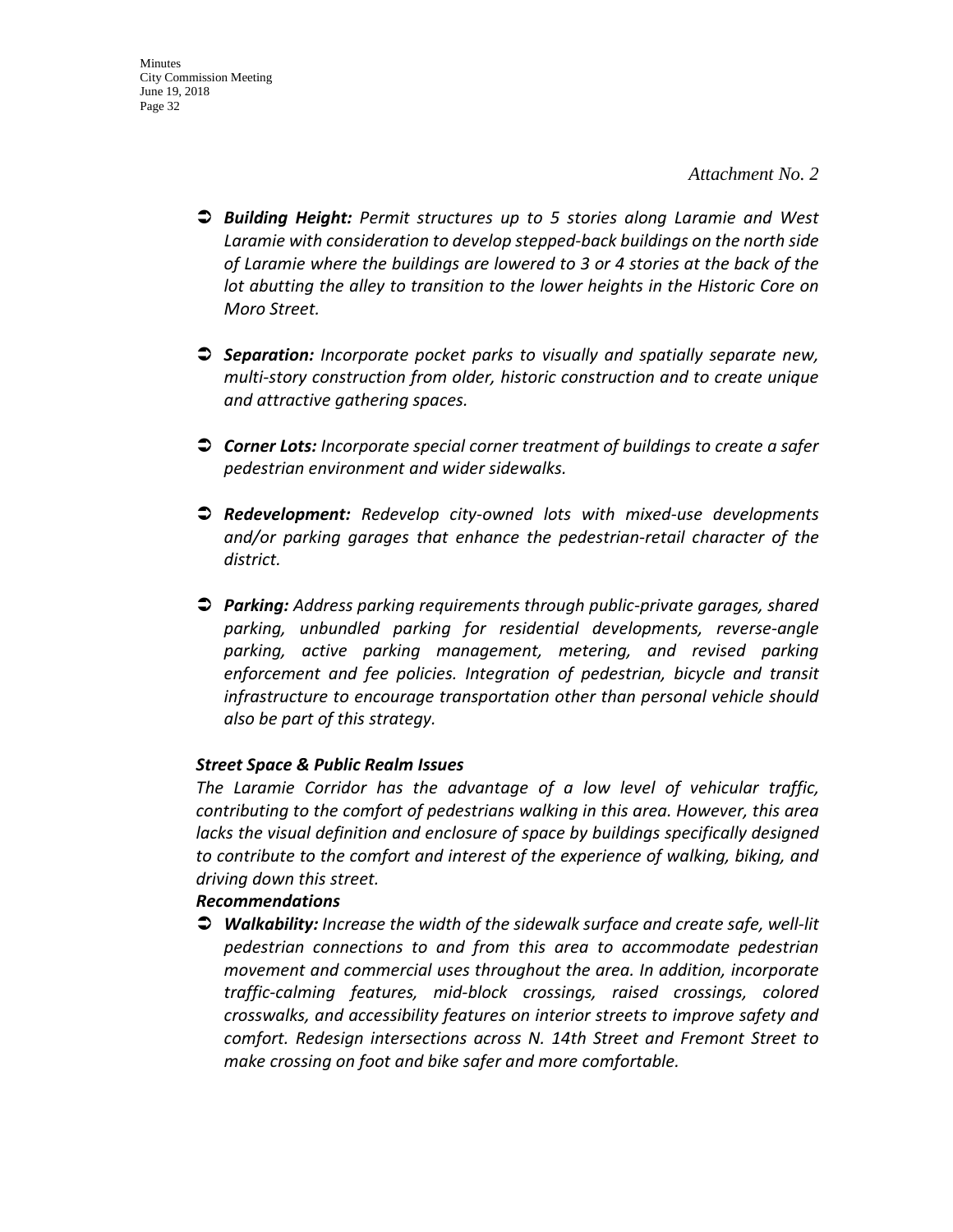- *Building Height: Permit structures up to 5 stories along Laramie and West Laramie with consideration to develop stepped-back buildings on the north side of Laramie where the buildings are lowered to 3 or 4 stories at the back of the lot abutting the alley to transition to the lower heights in the Historic Core on Moro Street.*
- *Separation: Incorporate pocket parks to visually and spatially separate new, multi-story construction from older, historic construction and to create unique and attractive gathering spaces.*
- *Corner Lots: Incorporate special corner treatment of buildings to create a safer pedestrian environment and wider sidewalks.*
- *Redevelopment: Redevelop city-owned lots with mixed-use developments and/or parking garages that enhance the pedestrian-retail character of the district.*
- *Parking: Address parking requirements through public-private garages, shared parking, unbundled parking for residential developments, reverse-angle parking, active parking management, metering, and revised parking enforcement and fee policies. Integration of pedestrian, bicycle and transit infrastructure to encourage transportation other than personal vehicle should also be part of this strategy.*

#### *Street Space & Public Realm Issues*

*The Laramie Corridor has the advantage of a low level of vehicular traffic, contributing to the comfort of pedestrians walking in this area. However, this area lacks the visual definition and enclosure of space by buildings specifically designed to contribute to the comfort and interest of the experience of walking, biking, and driving down this street.*

#### *Recommendations*

 *Walkability: Increase the width of the sidewalk surface and create safe, well-lit pedestrian connections to and from this area to accommodate pedestrian movement and commercial uses throughout the area. In addition, incorporate traffic-calming features, mid-block crossings, raised crossings, colored crosswalks, and accessibility features on interior streets to improve safety and comfort. Redesign intersections across N. 14th Street and Fremont Street to make crossing on foot and bike safer and more comfortable.*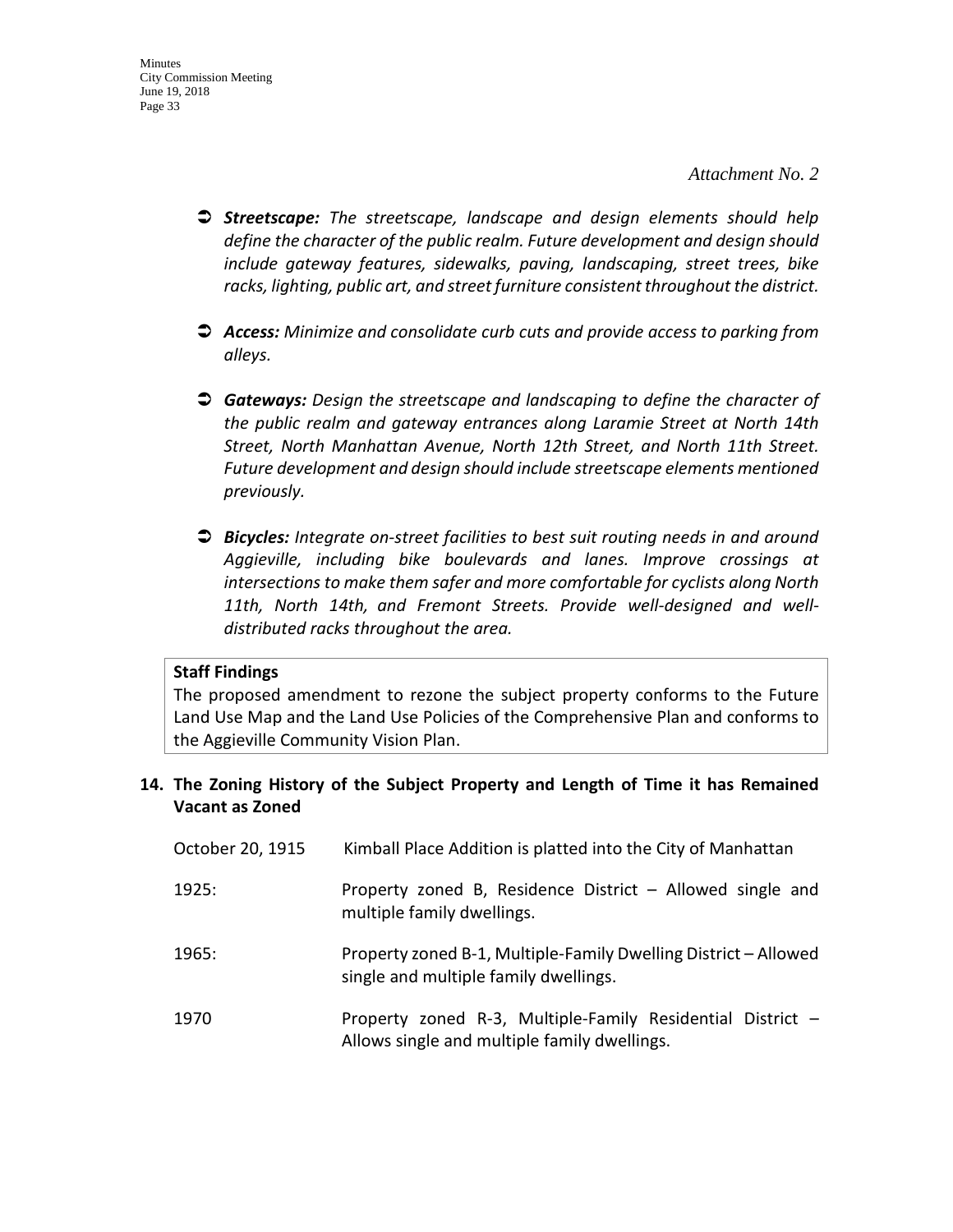- *Streetscape: The streetscape, landscape and design elements should help define the character of the public realm. Future development and design should include gateway features, sidewalks, paving, landscaping, street trees, bike racks, lighting, public art, and street furniture consistent throughout the district.*
- *Access: Minimize and consolidate curb cuts and provide access to parking from alleys.*
- *Gateways: Design the streetscape and landscaping to define the character of the public realm and gateway entrances along Laramie Street at North 14th Street, North Manhattan Avenue, North 12th Street, and North 11th Street. Future development and design should include streetscape elements mentioned previously.*
- *Bicycles: Integrate on-street facilities to best suit routing needs in and around Aggieville, including bike boulevards and lanes. Improve crossings at intersections to make them safer and more comfortable for cyclists along North 11th, North 14th, and Fremont Streets. Provide well-designed and welldistributed racks throughout the area.*

#### **Staff Findings**

The proposed amendment to rezone the subject property conforms to the Future Land Use Map and the Land Use Policies of the Comprehensive Plan and conforms to the Aggieville Community Vision Plan.

#### **14. The Zoning History of the Subject Property and Length of Time it has Remained Vacant as Zoned**

| October 20, 1915 | Kimball Place Addition is platted into the City of Manhattan                                               |
|------------------|------------------------------------------------------------------------------------------------------------|
| 1925:            | Property zoned B, Residence District - Allowed single and<br>multiple family dwellings.                    |
| 1965:            | Property zoned B-1, Multiple-Family Dwelling District - Allowed<br>single and multiple family dwellings.   |
| 1970             | Property zoned R-3, Multiple-Family Residential District -<br>Allows single and multiple family dwellings. |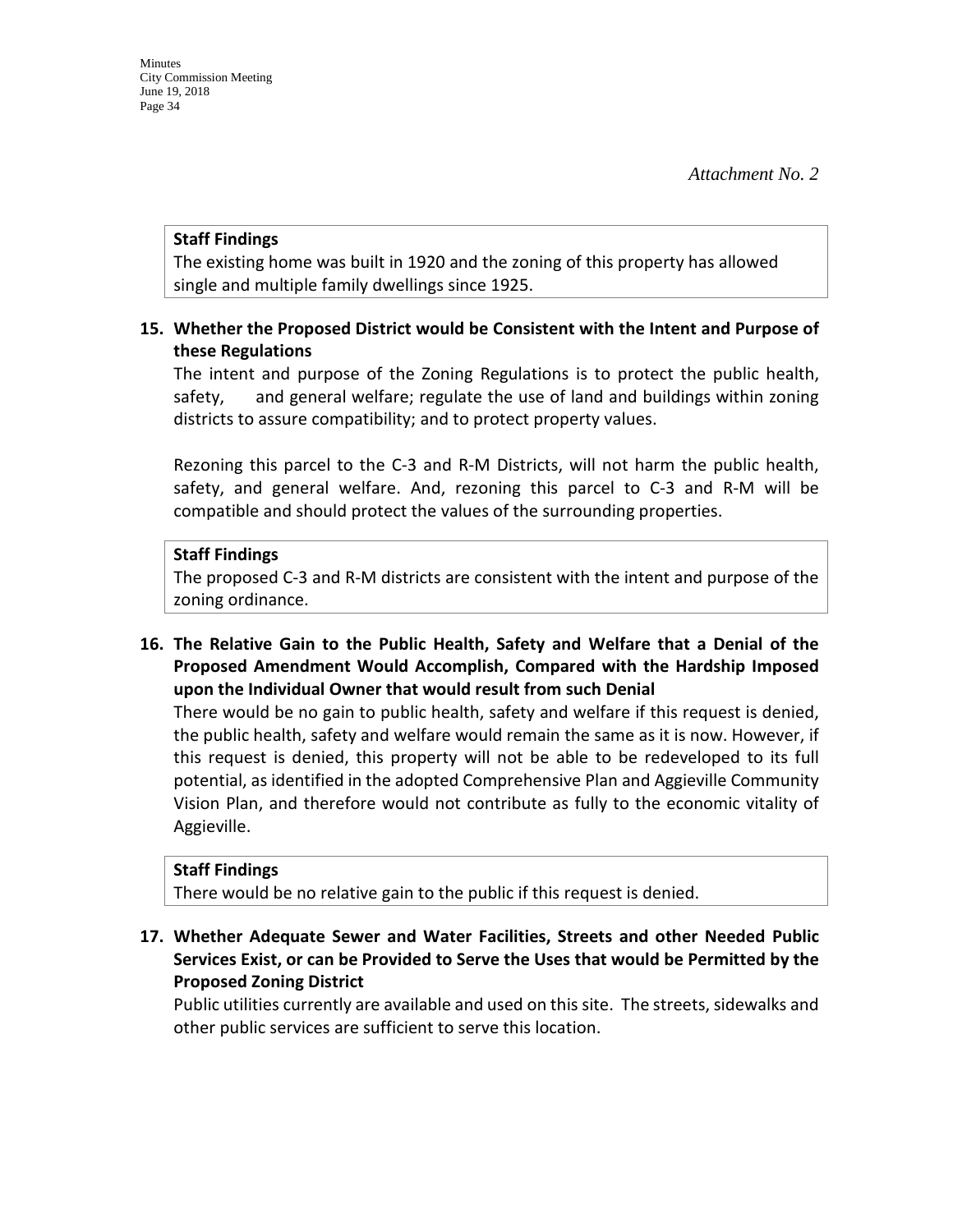#### **Staff Findings**

The existing home was built in 1920 and the zoning of this property has allowed single and multiple family dwellings since 1925.

#### **15. Whether the Proposed District would be Consistent with the Intent and Purpose of these Regulations**

The intent and purpose of the Zoning Regulations is to protect the public health, safety, and general welfare; regulate the use of land and buildings within zoning districts to assure compatibility; and to protect property values.

Rezoning this parcel to the C-3 and R-M Districts, will not harm the public health, safety, and general welfare. And, rezoning this parcel to C-3 and R-M will be compatible and should protect the values of the surrounding properties.

#### **Staff Findings**

The proposed C-3 and R-M districts are consistent with the intent and purpose of the zoning ordinance.

**16. The Relative Gain to the Public Health, Safety and Welfare that a Denial of the Proposed Amendment Would Accomplish, Compared with the Hardship Imposed upon the Individual Owner that would result from such Denial**

There would be no gain to public health, safety and welfare if this request is denied, the public health, safety and welfare would remain the same as it is now. However, if this request is denied, this property will not be able to be redeveloped to its full potential, as identified in the adopted Comprehensive Plan and Aggieville Community Vision Plan, and therefore would not contribute as fully to the economic vitality of Aggieville.

#### **Staff Findings**

There would be no relative gain to the public if this request is denied.

**17. Whether Adequate Sewer and Water Facilities, Streets and other Needed Public Services Exist, or can be Provided to Serve the Uses that would be Permitted by the Proposed Zoning District**

Public utilities currently are available and used on this site. The streets, sidewalks and other public services are sufficient to serve this location.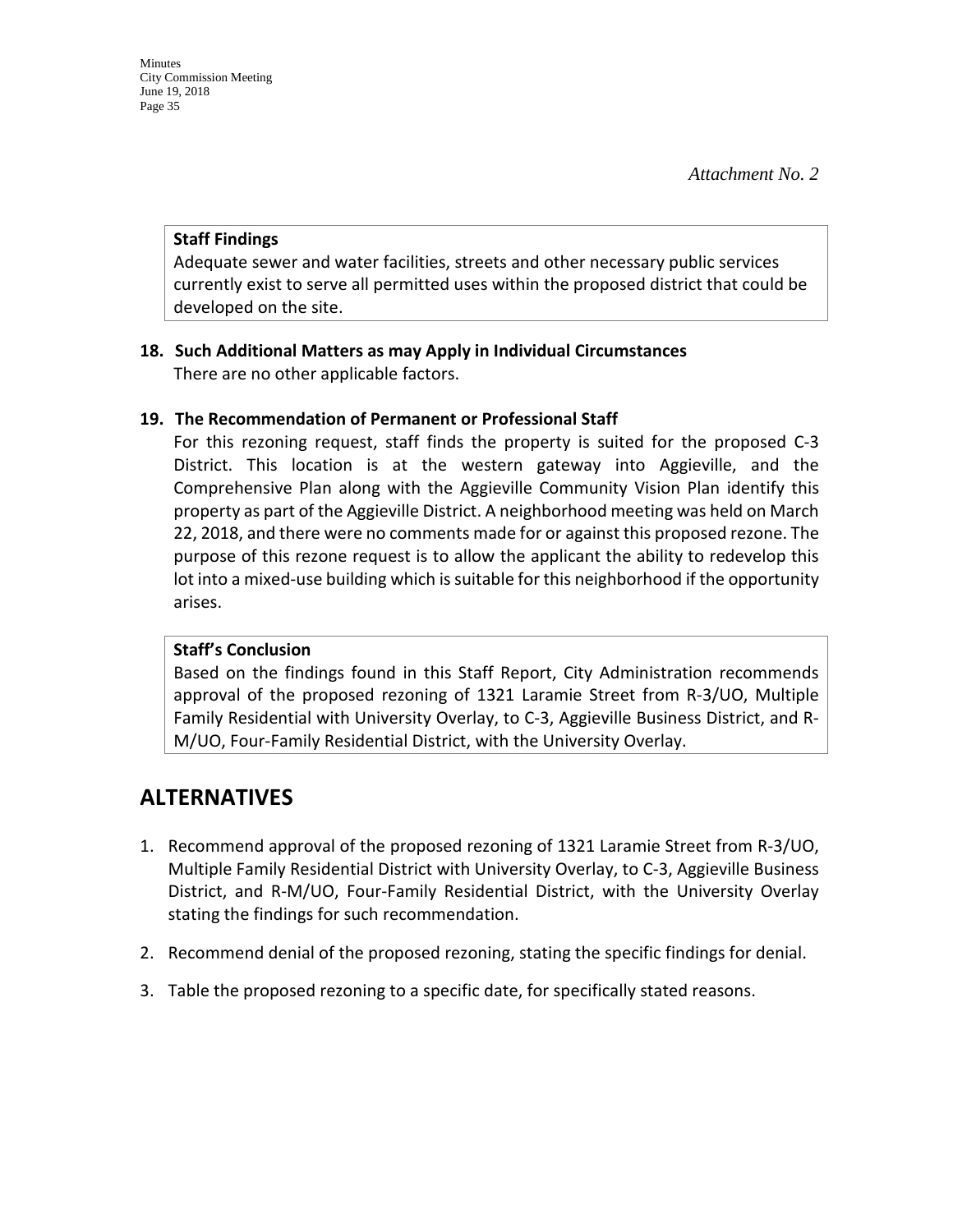#### **Staff Findings**

Adequate sewer and water facilities, streets and other necessary public services currently exist to serve all permitted uses within the proposed district that could be developed on the site.

#### **18. Such Additional Matters as may Apply in Individual Circumstances** There are no other applicable factors.

#### **19. The Recommendation of Permanent or Professional Staff**

For this rezoning request, staff finds the property is suited for the proposed C-3 District. This location is at the western gateway into Aggieville, and the Comprehensive Plan along with the Aggieville Community Vision Plan identify this property as part of the Aggieville District. A neighborhood meeting was held on March 22, 2018, and there were no comments made for or against this proposed rezone. The purpose of this rezone request is to allow the applicant the ability to redevelop this lot into a mixed-use building which is suitable for this neighborhood if the opportunity arises.

#### **Staff's Conclusion**

Based on the findings found in this Staff Report, City Administration recommends approval of the proposed rezoning of 1321 Laramie Street from R-3/UO, Multiple Family Residential with University Overlay, to C-3, Aggieville Business District, and R-M/UO, Four-Family Residential District, with the University Overlay.

# **ALTERNATIVES**

- 1. Recommend approval of the proposed rezoning of 1321 Laramie Street from R-3/UO, Multiple Family Residential District with University Overlay, to C-3, Aggieville Business District, and R-M/UO, Four-Family Residential District, with the University Overlay stating the findings for such recommendation.
- 2. Recommend denial of the proposed rezoning, stating the specific findings for denial.
- 3. Table the proposed rezoning to a specific date, for specifically stated reasons.